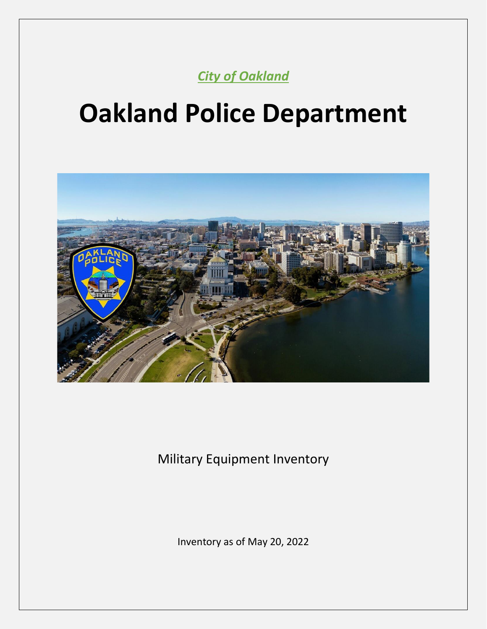*City of Oakland*

# **Oakland Police Department**



Military Equipment Inventory

Inventory as of May 20, 2022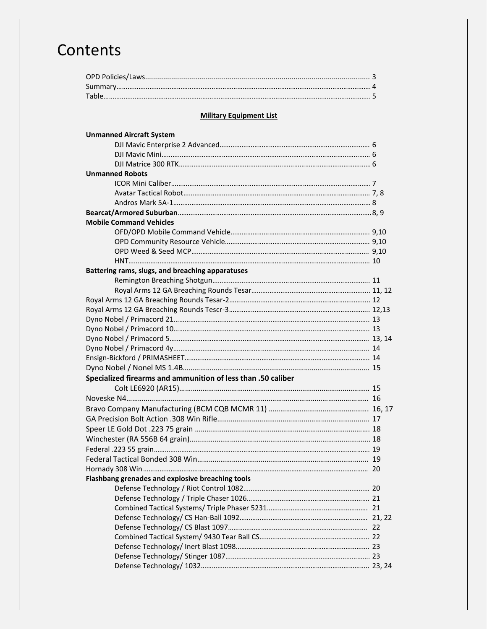## **Contents**

#### **Military Equipment List**

| <b>Unmanned Aircraft System</b>                              |  |
|--------------------------------------------------------------|--|
|                                                              |  |
|                                                              |  |
|                                                              |  |
| <b>Unmanned Robots</b>                                       |  |
|                                                              |  |
|                                                              |  |
|                                                              |  |
|                                                              |  |
| <b>Mobile Command Vehicles</b>                               |  |
|                                                              |  |
|                                                              |  |
|                                                              |  |
|                                                              |  |
| Battering rams, slugs, and breaching apparatuses             |  |
|                                                              |  |
|                                                              |  |
|                                                              |  |
|                                                              |  |
|                                                              |  |
|                                                              |  |
|                                                              |  |
|                                                              |  |
|                                                              |  |
|                                                              |  |
| Specialized firearms and ammunition of less than .50 caliber |  |
|                                                              |  |
|                                                              |  |
|                                                              |  |
|                                                              |  |
|                                                              |  |
|                                                              |  |
|                                                              |  |
|                                                              |  |
|                                                              |  |
| Flashbang grenades and explosive breaching tools             |  |
|                                                              |  |
|                                                              |  |
|                                                              |  |
|                                                              |  |
|                                                              |  |
|                                                              |  |
|                                                              |  |
|                                                              |  |
|                                                              |  |
|                                                              |  |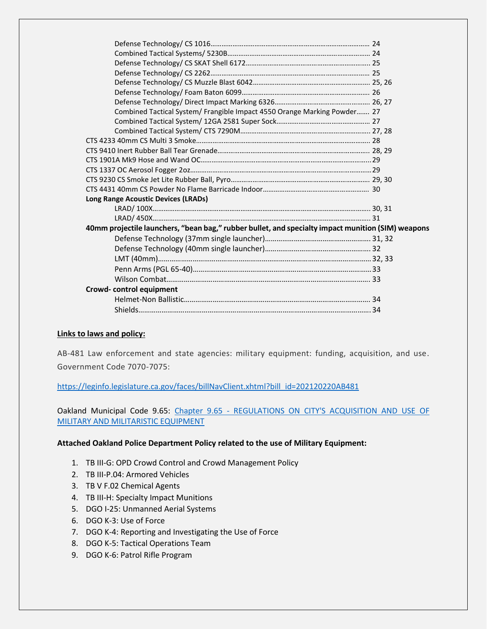| Combined Tactical System/ Frangible Impact 4550 Orange Marking Powder 27                          |  |
|---------------------------------------------------------------------------------------------------|--|
|                                                                                                   |  |
|                                                                                                   |  |
|                                                                                                   |  |
|                                                                                                   |  |
|                                                                                                   |  |
|                                                                                                   |  |
|                                                                                                   |  |
|                                                                                                   |  |
| <b>Long Range Acoustic Devices (LRADs)</b>                                                        |  |
|                                                                                                   |  |
|                                                                                                   |  |
| 40mm projectile launchers, "bean bag," rubber bullet, and specialty impact munition (SIM) weapons |  |
|                                                                                                   |  |
|                                                                                                   |  |
|                                                                                                   |  |
|                                                                                                   |  |
|                                                                                                   |  |
| Crowd-control equipment                                                                           |  |
|                                                                                                   |  |
|                                                                                                   |  |
|                                                                                                   |  |

#### **Links to laws and policy:**

AB-481 Law enforcement and state agencies: military equipment: funding, acquisition, and use. Government Code 7070-7075:

[https://leginfo.legislature.ca.gov/faces/billNavClient.xhtml?bill\\_id=202120220AB481](https://leginfo.legislature.ca.gov/faces/billNavClient.xhtml?bill_id=202120220AB481)

Oakland Municipal Code 9.65: Chapter 9.65 - [REGULATIONS ON CITY'S ACQUISITION AND USE OF](https://urldefense.proofpoint.com/v2/url?u=https-3A__library.municode.com_ca_oakland_codes_code-5Fof-5Fordinances_-3FnodeId-3DTIT9PUPEMOWE-5FCH9.65REACUSMIMIEQ&d=DwMCaQ&c=6ZboKdJzR8nZOqwBjhPnCw&r=oc93DiDmjddZS1StpRGDD9zr3mqoL1sG7cM5nhglI8Q&m=_Am1X8PczWIEW8hySEneZyv91iLp8K84jZFxKiurP2m44NAjQPvM7rAVFu58lveG&s=xD1azLdzfd-eOrLKUcqzpQx3KBuNrpMiCddAZkazV1w&e=)  [MILITARY AND MILITARISTIC EQUIPMENT](https://urldefense.proofpoint.com/v2/url?u=https-3A__library.municode.com_ca_oakland_codes_code-5Fof-5Fordinances_-3FnodeId-3DTIT9PUPEMOWE-5FCH9.65REACUSMIMIEQ&d=DwMCaQ&c=6ZboKdJzR8nZOqwBjhPnCw&r=oc93DiDmjddZS1StpRGDD9zr3mqoL1sG7cM5nhglI8Q&m=_Am1X8PczWIEW8hySEneZyv91iLp8K84jZFxKiurP2m44NAjQPvM7rAVFu58lveG&s=xD1azLdzfd-eOrLKUcqzpQx3KBuNrpMiCddAZkazV1w&e=)

#### **Attached Oakland Police Department Policy related to the use of Military Equipment:**

- 1. TB III-G: OPD Crowd Control and Crowd Management Policy
- 2. TB III-P.04: Armored Vehicles
- 3. TB V F.02 Chemical Agents
- 4. TB III-H: Specialty Impact Munitions
- 5. DGO I-25: Unmanned Aerial Systems
- 6. DGO K-3: Use of Force
- 7. DGO K-4: Reporting and Investigating the Use of Force
- 8. DGO K-5: Tactical Operations Team
- 9. DGO K-6: Patrol Rifle Program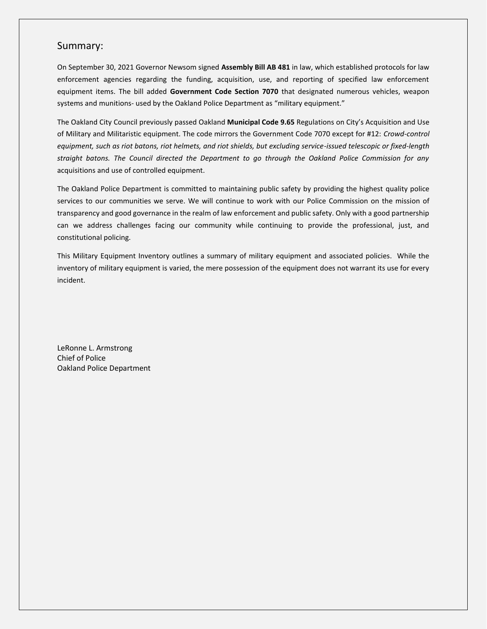#### Summary:

On September 30, 2021 Governor Newsom signed **Assembly Bill AB 481** in law, which established protocols for law enforcement agencies regarding the funding, acquisition, use, and reporting of specified law enforcement equipment items. The bill added **Government Code Section 7070** that designated numerous vehicles, weapon systems and munitions- used by the Oakland Police Department as "military equipment."

The Oakland City Council previously passed Oakland **Municipal Code 9.65** Regulations on City's Acquisition and Use of Military and Militaristic equipment. The code mirrors the Government Code 7070 except for #12: *Crowd-control equipment, such as riot batons, riot helmets, and riot shields, but excluding service-issued telescopic or fixed-length straight batons. The Council directed the Department to go through the Oakland Police Commission for any*  acquisitions and use of controlled equipment.

The Oakland Police Department is committed to maintaining public safety by providing the highest quality police services to our communities we serve. We will continue to work with our Police Commission on the mission of transparency and good governance in the realm of law enforcement and public safety. Only with a good partnership can we address challenges facing our community while continuing to provide the professional, just, and constitutional policing.

This Military Equipment Inventory outlines a summary of military equipment and associated policies. While the inventory of military equipment is varied, the mere possession of the equipment does not warrant its use for every incident.

LeRonne L. Armstrong Chief of Police Oakland Police Department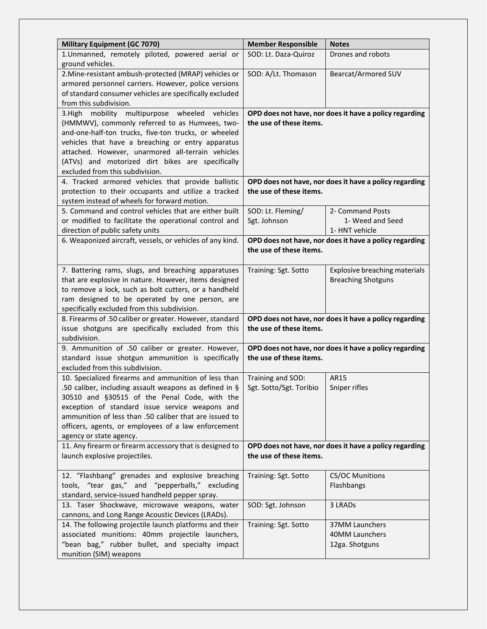| <b>Military Equipment (GC 7070)</b>                                                                    | <b>Member Responsible</b> | <b>Notes</b>                                           |
|--------------------------------------------------------------------------------------------------------|---------------------------|--------------------------------------------------------|
| 1.Unmanned, remotely piloted, powered aerial or                                                        | SOD: Lt. Daza-Quiroz      | Drones and robots                                      |
| ground vehicles.                                                                                       |                           |                                                        |
| 2. Mine-resistant ambush-protected (MRAP) vehicles or                                                  | SOD: A/Lt. Thomason       | Bearcat/Armored SUV                                    |
| armored personnel carriers. However, police versions                                                   |                           |                                                        |
| of standard consumer vehicles are specifically excluded                                                |                           |                                                        |
| from this subdivision.                                                                                 |                           |                                                        |
| 3.High mobility multipurpose wheeled vehicles<br>(HMMWV), commonly referred to as Humvees, two-        | the use of these items.   | OPD does not have, nor does it have a policy regarding |
| and-one-half-ton trucks, five-ton trucks, or wheeled                                                   |                           |                                                        |
| vehicles that have a breaching or entry apparatus                                                      |                           |                                                        |
| attached. However, unarmored all-terrain vehicles                                                      |                           |                                                        |
| (ATVs) and motorized dirt bikes are specifically                                                       |                           |                                                        |
| excluded from this subdivision.                                                                        |                           |                                                        |
| 4. Tracked armored vehicles that provide ballistic                                                     |                           | OPD does not have, nor does it have a policy regarding |
| protection to their occupants and utilize a tracked                                                    | the use of these items.   |                                                        |
| system instead of wheels for forward motion.                                                           |                           |                                                        |
| 5. Command and control vehicles that are either built                                                  | SOD: Lt. Fleming/         | 2- Command Posts                                       |
| or modified to facilitate the operational control and                                                  | Sgt. Johnson              | 1- Weed and Seed                                       |
| direction of public safety units                                                                       |                           | 1- HNT vehicle                                         |
| 6. Weaponized aircraft, vessels, or vehicles of any kind.                                              | the use of these items.   | OPD does not have, nor does it have a policy regarding |
|                                                                                                        |                           |                                                        |
| 7. Battering rams, slugs, and breaching apparatuses                                                    | Training: Sgt. Sotto      | Explosive breaching materials                          |
| that are explosive in nature. However, items designed                                                  |                           | <b>Breaching Shotguns</b>                              |
| to remove a lock, such as bolt cutters, or a handheld                                                  |                           |                                                        |
| ram designed to be operated by one person, are                                                         |                           |                                                        |
| specifically excluded from this subdivision.                                                           |                           |                                                        |
| 8. Firearms of .50 caliber or greater. However, standard                                               |                           | OPD does not have, nor does it have a policy regarding |
| issue shotguns are specifically excluded from this                                                     | the use of these items.   |                                                        |
| subdivision.                                                                                           |                           |                                                        |
| 9. Ammunition of .50 caliber or greater. However,<br>standard issue shotgun ammunition is specifically |                           | OPD does not have, nor does it have a policy regarding |
| excluded from this subdivision.                                                                        | the use of these items.   |                                                        |
| 10. Specialized firearms and ammunition of less than                                                   | Training and SOD:         | AR15                                                   |
| .50 caliber, including assault weapons as defined in §                                                 | Sgt. Sotto/Sgt. Toribio   | Sniper rifles                                          |
| 30510 and §30515 of the Penal Code, with the                                                           |                           |                                                        |
| exception of standard issue service weapons and                                                        |                           |                                                        |
| ammunition of less than .50 caliber that are issued to                                                 |                           |                                                        |
| officers, agents, or employees of a law enforcement                                                    |                           |                                                        |
| agency or state agency.                                                                                |                           |                                                        |
| 11. Any firearm or firearm accessory that is designed to                                               |                           | OPD does not have, nor does it have a policy regarding |
| launch explosive projectiles.                                                                          | the use of these items.   |                                                        |
| 12. "Flashbang" grenades and explosive breaching                                                       | Training: Sgt. Sotto      | <b>CS/OC Munitions</b>                                 |
| tools, "tear gas," and "pepperballs," excluding                                                        |                           | Flashbangs                                             |
| standard, service-issued handheld pepper spray.                                                        |                           |                                                        |
| 13. Taser Shockwave, microwave weapons, water                                                          | SOD: Sgt. Johnson         | 3 LRADs                                                |
| cannons, and Long Range Acoustic Devices (LRADs).                                                      |                           |                                                        |
| 14. The following projectile launch platforms and their                                                | Training: Sgt. Sotto      | 37MM Launchers                                         |
| associated munitions: 40mm projectile launchers,                                                       |                           | 40MM Launchers                                         |
| "bean bag," rubber bullet, and specialty impact                                                        |                           | 12ga. Shotguns                                         |
| munition (SIM) weapons                                                                                 |                           |                                                        |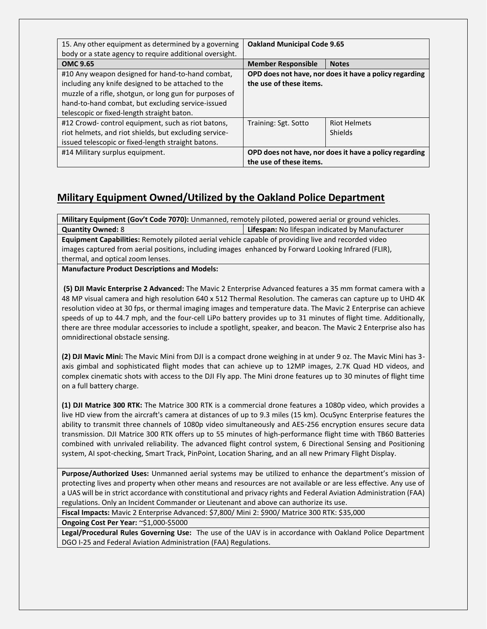| 15. Any other equipment as determined by a governing<br>body or a state agency to require additional oversight. | <b>Oakland Municipal Code 9.65</b> |                                                        |
|-----------------------------------------------------------------------------------------------------------------|------------------------------------|--------------------------------------------------------|
| <b>OMC 9.65</b>                                                                                                 | <b>Member Responsible</b>          | <b>Notes</b>                                           |
| #10 Any weapon designed for hand-to-hand combat,                                                                |                                    | OPD does not have, nor does it have a policy regarding |
| including any knife designed to be attached to the                                                              | the use of these items.            |                                                        |
| muzzle of a rifle, shotgun, or long gun for purposes of                                                         |                                    |                                                        |
| hand-to-hand combat, but excluding service-issued                                                               |                                    |                                                        |
| telescopic or fixed-length straight baton.                                                                      |                                    |                                                        |
| #12 Crowd-control equipment, such as riot batons,                                                               | Training: Sgt. Sotto               | <b>Riot Helmets</b>                                    |
| riot helmets, and riot shields, but excluding service-                                                          |                                    | <b>Shields</b>                                         |
| issued telescopic or fixed-length straight batons.                                                              |                                    |                                                        |
| #14 Military surplus equipment.                                                                                 |                                    | OPD does not have, nor does it have a policy regarding |
|                                                                                                                 | the use of these items.            |                                                        |

### **Military Equipment Owned/Utilized by the Oakland Police Department**

**Military Equipment (Gov't Code 7070):** Unmanned, remotely piloted, powered aerial or ground vehicles. **Quantity Owned:** 8 **Lifespan:** No lifespan: No lifespan indicated by Manufacturer

**Equipment Capabilities:** Remotely piloted aerial vehicle capable of providing live and recorded video images captured from aerial positions, including images enhanced by Forward Looking Infrared (FLIR), thermal, and optical zoom lenses.

**Manufacture Product Descriptions and Models:**

**(5) DJI Mavic Enterprise 2 Advanced:** The Mavic 2 Enterprise Advanced features a 35 mm format camera with a 48 MP visual camera and high resolution 640 x 512 Thermal Resolution. The cameras can capture up to UHD 4K resolution video at 30 fps, or thermal imaging images and temperature data. The Mavic 2 Enterprise can achieve speeds of up to 44.7 mph, and the four-cell LiPo battery provides up to 31 minutes of flight time. Additionally, there are three modular accessories to include a spotlight, speaker, and beacon. The Mavic 2 Enterprise also has omnidirectional obstacle sensing.

**(2) DJI Mavic Mini:** The Mavic Mini from DJI is a compact drone weighing in at under 9 oz. The Mavic Mini has 3 axis gimbal and sophisticated flight modes that can achieve up to 12MP images, 2.7K Quad HD videos, and complex cinematic shots with access to the DJI Fly app. The Mini drone features up to 30 minutes of flight time on a full battery charge.

**(1) DJI Matrice 300 RTK:** The Matrice 300 RTK is a commercial drone features a 1080p video, which provides a live HD view from the aircraft's camera at distances of up to 9.3 miles (15 km). OcuSync Enterprise features the ability to transmit three channels of 1080p video simultaneously and AES-256 encryption ensures secure data transmission. DJI Matrice 300 RTK offers up to 55 minutes of high-performance flight time with TB60 Batteries combined with unrivaled reliability. The advanced flight control system, 6 Directional Sensing and Positioning system, AI spot-checking, Smart Track, PinPoint, Location Sharing, and an all new Primary Flight Display.

**Purpose/Authorized Uses:** Unmanned aerial systems may be utilized to enhance the department's mission of protecting lives and property when other means and resources are not available or are less effective. Any use of a UAS will be in strict accordance with constitutional and privacy rights and Federal Aviation Administration (FAA) regulations. Only an Incident Commander or Lieutenant and above can authorize its use.

**Fiscal Impacts:** Mavic 2 Enterprise Advanced: \$7,800/ Mini 2: \$900/ Matrice 300 RTK: \$35,000

**Ongoing Cost Per Year:** ~\$1,000-\$5000

**Legal/Procedural Rules Governing Use:** The use of the UAV is in accordance with Oakland Police Department DGO I-25 and Federal Aviation Administration (FAA) Regulations.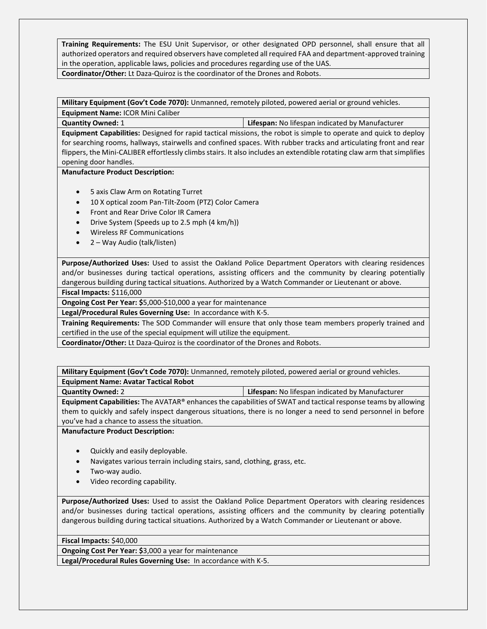**Training Requirements:** The ESU Unit Supervisor, or other designated OPD personnel, shall ensure that all authorized operators and required observers have completed all required FAA and department-approved training in the operation, applicable laws, policies and procedures regarding use of the UAS. **Coordinator/Other:** Lt Daza-Quiroz is the coordinator of the Drones and Robots.

**Military Equipment (Gov't Code 7070):** Unmanned, remotely piloted, powered aerial or ground vehicles. **Equipment Name:** ICOR Mini Caliber

**Quantity Owned:** 1 **Lifespan:** No lifespan indicated by Manufacturer

**Equipment Capabilities:** Designed for rapid tactical missions, the robot is simple to operate and quick to deploy for searching rooms, hallways, stairwells and confined spaces. With rubber tracks and articulating front and rear flippers, the Mini-CALIBER effortlessly climbs stairs. It also includes an extendible rotating claw arm that simplifies opening door handles.

#### **Manufacture Product Description:**

- 5 axis Claw Arm on Rotating Turret
- 10 X optical zoom Pan-Tilt-Zoom (PTZ) Color Camera
- Front and Rear Drive Color IR Camera
- Drive System (Speeds up to 2.5 mph (4 km/h))
- Wireless RF Communications
- 2 Way Audio (talk/listen)

**Purpose/Authorized Uses:** Used to assist the Oakland Police Department Operators with clearing residences and/or businesses during tactical operations, assisting officers and the community by clearing potentially dangerous building during tactical situations. Authorized by a Watch Commander or Lieutenant or above.

**Fiscal Impacts:** \$116,000

**Ongoing Cost Per Year: \$**5,000-\$10,000 a year for maintenance

**Legal/Procedural Rules Governing Use:** In accordance with K-5.

**Training Requirements:** The SOD Commander will ensure that only those team members properly trained and certified in the use of the special equipment will utilize the equipment.

**Coordinator/Other:** Lt Daza-Quiroz is the coordinator of the Drones and Robots.

**Military Equipment (Gov't Code 7070):** Unmanned, remotely piloted, powered aerial or ground vehicles. **Equipment Name: Avatar Tactical Robot**

**Quantity Owned:** 2 **Lifespan:** No lifespan indicated by Manufacturer

**Equipment Capabilities:** The AVATAR® enhances the capabilities of SWAT and tactical response teams by allowing them to quickly and safely inspect dangerous situations, there is no longer a need to send personnel in before you've had a chance to assess the situation.

**Manufacture Product Description:**

- Quickly and easily deployable.
- Navigates various terrain including stairs, sand, clothing, grass, etc.
- Two-way audio.
- Video recording capability.

**Purpose/Authorized Uses:** Used to assist the Oakland Police Department Operators with clearing residences and/or businesses during tactical operations, assisting officers and the community by clearing potentially dangerous building during tactical situations. Authorized by a Watch Commander or Lieutenant or above.

**Fiscal Impacts:** \$40,000

**Ongoing Cost Per Year: \$**3,000 a year for maintenance

**Legal/Procedural Rules Governing Use:** In accordance with K-5.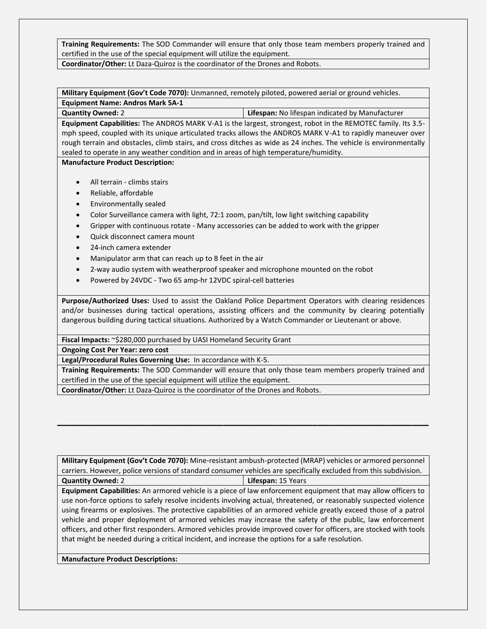**Training Requirements:** The SOD Commander will ensure that only those team members properly trained and certified in the use of the special equipment will utilize the equipment.

**Coordinator/Other:** Lt Daza-Quiroz is the coordinator of the Drones and Robots.

**Military Equipment (Gov't Code 7070):** Unmanned, remotely piloted, powered aerial or ground vehicles. **Equipment Name: Andros Mark 5A-1**

**Quantity Owned:** 2 **Lifespan:** No lifespan indicated by Manufacturer **Equipment Capabilities:** The ANDROS MARK V-A1 is the largest, strongest, robot in the REMOTEC family. Its 3.5 mph speed, coupled with its unique articulated tracks allows the ANDROS MARK V-A1 to rapidly maneuver over

rough terrain and obstacles, climb stairs, and cross ditches as wide as 24 inches. The vehicle is environmentally sealed to operate in any weather condition and in areas of high temperature/humidity.

**Manufacture Product Description:**

- All terrain climbs stairs
- Reliable, affordable
- Environmentally sealed
- Color Surveillance camera with light, 72:1 zoom, pan/tilt, low light switching capability
- Gripper with continuous rotate Many accessories can be added to work with the gripper
- Quick disconnect camera mount
- 24-inch camera extender
- Manipulator arm that can reach up to 8 feet in the air
- 2-way audio system with weatherproof speaker and microphone mounted on the robot
- Powered by 24VDC Two 65 amp-hr 12VDC spiral-cell batteries

**Purpose/Authorized Uses:** Used to assist the Oakland Police Department Operators with clearing residences and/or businesses during tactical operations, assisting officers and the community by clearing potentially dangerous building during tactical situations. Authorized by a Watch Commander or Lieutenant or above.

**Fiscal Impacts:** ~\$280,000 purchased by UASI Homeland Security Grant

**Ongoing Cost Per Year: zero cost**

**Legal/Procedural Rules Governing Use:** In accordance with K-5.

**Training Requirements:** The SOD Commander will ensure that only those team members properly trained and certified in the use of the special equipment will utilize the equipment.

**Coordinator/Other:** Lt Daza-Quiroz is the coordinator of the Drones and Robots.

**Military Equipment (Gov't Code 7070):** Mine-resistant ambush-protected (MRAP) vehicles or armored personnel carriers. However, police versions of standard consumer vehicles are specifically excluded from this subdivision. **Quantity Owned:** 2 **Lifespan:** 15 Years

**\_\_\_\_\_\_\_\_\_\_\_\_\_\_\_\_\_\_\_\_\_\_\_\_\_\_\_\_\_\_\_\_\_\_\_\_\_\_\_\_\_\_\_\_\_\_\_\_\_\_\_\_\_\_\_\_\_\_\_\_\_\_\_\_\_\_\_**

**Equipment Capabilities:** An armored vehicle is a piece of law enforcement equipment that may allow officers to use non-force options to safely resolve incidents involving actual, threatened, or reasonably suspected violence using firearms or explosives. The protective capabilities of an armored vehicle greatly exceed those of a patrol vehicle and proper deployment of armored vehicles may increase the safety of the public, law enforcement officers, and other first responders. Armored vehicles provide improved cover for officers, are stocked with tools that might be needed during a critical incident, and increase the options for a safe resolution.

**Manufacture Product Descriptions:**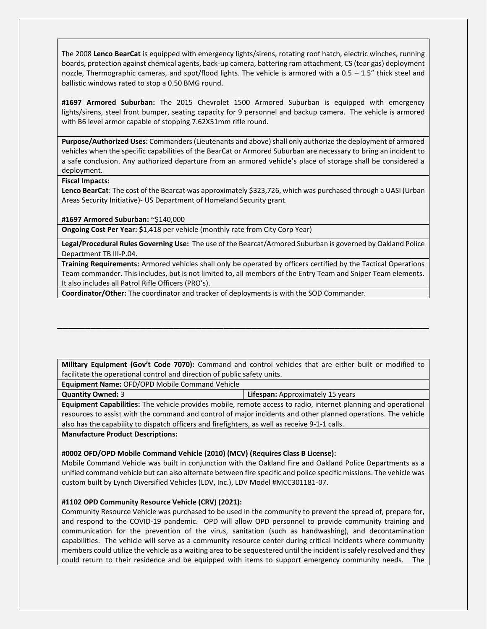The 2008 **Lenco BearCat** is equipped with emergency lights/sirens, rotating roof hatch, electric winches, running boards, protection against chemical agents, back-up camera, battering ram attachment, CS (tear gas) deployment nozzle, Thermographic cameras, and spot/flood lights. The vehicle is armored with a 0.5 – 1.5" thick steel and ballistic windows rated to stop a 0.50 BMG round.

**#1697 Armored Suburban:** The 2015 Chevrolet 1500 Armored Suburban is equipped with emergency lights/sirens, steel front bumper, seating capacity for 9 personnel and backup camera. The vehicle is armored with B6 level armor capable of stopping 7.62X51mm rifle round.

**Purpose/Authorized Uses:** Commanders (Lieutenants and above) shall only authorize the deployment of armored vehicles when the specific capabilities of the BearCat or Armored Suburban are necessary to bring an incident to a safe conclusion. Any authorized departure from an armored vehicle's place of storage shall be considered a deployment.

#### **Fiscal Impacts:**

**Lenco BearCat**: The cost of the Bearcat was approximately \$323,726, which was purchased through a UASI (Urban Areas Security Initiative)- US Department of Homeland Security grant.

**#1697 Armored Suburban:** ~\$140,000

**Ongoing Cost Per Year: \$**1,418 per vehicle (monthly rate from City Corp Year)

**Legal/Procedural Rules Governing Use:** The use of the Bearcat/Armored Suburban is governed by Oakland Police Department TB III-P.04.

**Training Requirements:** Armored vehicles shall only be operated by officers certified by the Tactical Operations Team commander. This includes, but is not limited to, all members of the Entry Team and Sniper Team elements. It also includes all Patrol Rifle Officers (PRO's).

**Coordinator/Other:** The coordinator and tracker of deployments is with the SOD Commander.

**Military Equipment (Gov't Code 7070):** Command and control vehicles that are either built or modified to facilitate the operational control and direction of public safety units.

**\_\_\_\_\_\_\_\_\_\_\_\_\_\_\_\_\_\_\_\_\_\_\_\_\_\_\_\_\_\_\_\_\_\_\_\_\_\_\_\_\_\_\_\_\_\_\_\_\_\_\_\_\_\_\_\_\_\_\_\_\_\_\_\_\_\_\_**

**Equipment Name:** OFD/OPD Mobile Command Vehicle

**Quantity Owned:** 3 **Lifespan:** Approximately 15 years

**Equipment Capabilities:** The vehicle provides mobile, remote access to radio, internet planning and operational resources to assist with the command and control of major incidents and other planned operations. The vehicle also has the capability to dispatch officers and firefighters, as well as receive 9-1-1 calls.

**Manufacture Product Descriptions:**

#### **#0002 OFD/OPD Mobile Command Vehicle (2010) (MCV) (Requires Class B License):**

Mobile Command Vehicle was built in conjunction with the Oakland Fire and Oakland Police Departments as a unified command vehicle but can also alternate between fire specific and police specific missions. The vehicle was custom built by Lynch Diversified Vehicles (LDV, Inc.), LDV Model #MCC301181-07.

#### **#1102 OPD Community Resource Vehicle (CRV) (2021):**

Community Resource Vehicle was purchased to be used in the community to prevent the spread of, prepare for, and respond to the COVID-19 pandemic. OPD will allow OPD personnel to provide community training and communication for the prevention of the virus, sanitation (such as handwashing), and decontamination capabilities. The vehicle will serve as a community resource center during critical incidents where community members could utilize the vehicle as a waiting area to be sequestered until the incident is safely resolved and they could return to their residence and be equipped with items to support emergency community needs. The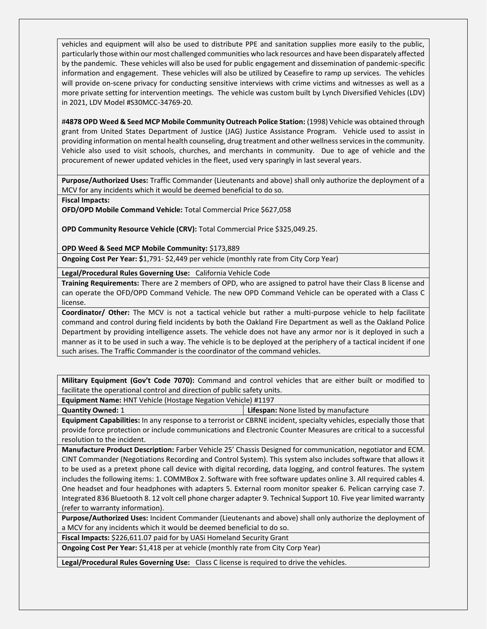vehicles and equipment will also be used to distribute PPE and sanitation supplies more easily to the public, particularly those within our most challenged communities who lack resources and have been disparately affected by the pandemic. These vehicles will also be used for public engagement and dissemination of pandemic-specific information and engagement. These vehicles will also be utilized by Ceasefire to ramp up services. The vehicles will provide on-scene privacy for conducting sensitive interviews with crime victims and witnesses as well as a more private setting for intervention meetings. The vehicle was custom built by Lynch Diversified Vehicles (LDV) in 2021, LDV Model #S30MCC-34769-20.

#**4878 OPD Weed & Seed MCP Mobile Community Outreach Police Station:** (1998) Vehicle was obtained through grant from United States Department of Justice (JAG) Justice Assistance Program. Vehicle used to assist in providing information on mental health counseling, drug treatment and other wellness services in the community. Vehicle also used to visit schools, churches, and merchants in community. Due to age of vehicle and the procurement of newer updated vehicles in the fleet, used very sparingly in last several years.

**Purpose/Authorized Uses:** Traffic Commander (Lieutenants and above) shall only authorize the deployment of a MCV for any incidents which it would be deemed beneficial to do so.

**Fiscal Impacts:** 

**OFD/OPD Mobile Command Vehicle:** Total Commercial Price \$627,058

**OPD Community Resource Vehicle (CRV):** Total Commercial Price \$325,049.25.

**OPD Weed & Seed MCP Mobile Community:** \$173,889

**Ongoing Cost Per Year: \$**1,791- \$2,449 per vehicle (monthly rate from City Corp Year)

**Legal/Procedural Rules Governing Use:** California Vehicle Code

**Training Requirements:** There are 2 members of OPD, who are assigned to patrol have their Class B license and can operate the OFD/OPD Command Vehicle. The new OPD Command Vehicle can be operated with a Class C license.

**Coordinator/ Other:** The MCV is not a tactical vehicle but rather a multi-purpose vehicle to help facilitate command and control during field incidents by both the Oakland Fire Department as well as the Oakland Police Department by providing intelligence assets. The vehicle does not have any armor nor is it deployed in such a manner as it to be used in such a way. The vehicle is to be deployed at the periphery of a tactical incident if one such arises. The Traffic Commander is the coordinator of the command vehicles.

**Military Equipment (Gov't Code 7070):** Command and control vehicles that are either built or modified to facilitate the operational control and direction of public safety units.

**Equipment Name:** HNT Vehicle (Hostage Negation Vehicle) #1197

**Quantity Owned:** 1 **Lifespan:** None listed by manufacture

**Equipment Capabilities:** In any response to a terrorist or CBRNE incident, specialty vehicles, especially those that provide force protection or include communications and Electronic Counter Measures are critical to a successful resolution to the incident.

**Manufacture Product Description:** Farber Vehicle 25' Chassis Designed for communication, negotiator and ECM. CINT Commander (Negotiations Recording and Control System). This system also includes software that allows it to be used as a pretext phone call device with digital recording, data logging, and control features. The system includes the following items: 1. COMMBox 2. Software with free software updates online 3. All required cables 4. One headset and four headphones with adapters 5. External room monitor speaker 6. Pelican carrying case 7. Integrated 836 Bluetooth 8. 12 volt cell phone charger adapter 9. Technical Support 10. Five year limited warranty (refer to warranty information).

**Purpose/Authorized Uses:** Incident Commander (Lieutenants and above) shall only authorize the deployment of a MCV for any incidents which it would be deemed beneficial to do so.

**Fiscal Impacts:** \$226,611.07 paid for by UASi Homeland Security Grant

**Ongoing Cost Per Year:** \$1,418 per at vehicle (monthly rate from City Corp Year)

**Legal/Procedural Rules Governing Use:** Class C license is required to drive the vehicles.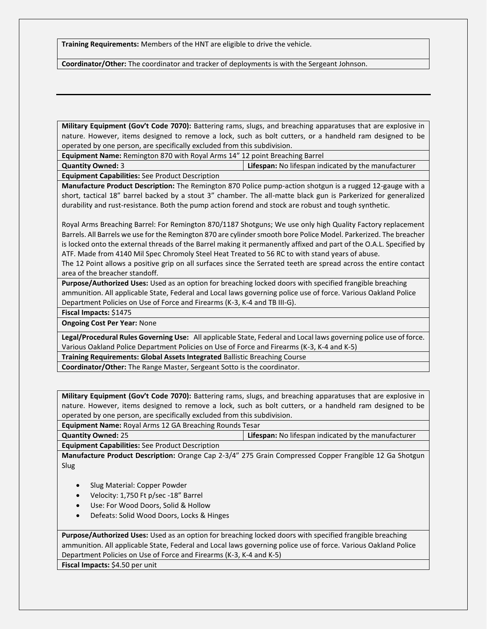**Training Requirements:** Members of the HNT are eligible to drive the vehicle.

**Coordinator/Other:** The coordinator and tracker of deployments is with the Sergeant Johnson.

**Military Equipment (Gov't Code 7070):** Battering rams, slugs, and breaching apparatuses that are explosive in nature. However, items designed to remove a lock, such as bolt cutters, or a handheld ram designed to be operated by one person, are specifically excluded from this subdivision.

**Equipment Name:** Remington 870 with Royal Arms 14" 12 point Breaching Barrel

**Quantity Owned:** 3 **Lifespan:** No lifespan indicated by the manufacturer **Equipment Capabilities:** See Product Description

**Manufacture Product Description:** The Remington 870 Police pump-action shotgun is a rugged 12-gauge with a short, tactical 18" barrel backed by a stout 3" chamber. The all-matte black gun is Parkerized for generalized durability and rust-resistance. Both the pump action forend and stock are robust and tough synthetic.

Royal Arms Breaching Barrel: For Remington 870/1187 Shotguns; We use only high Quality Factory replacement Barrels. All Barrels we use for the Remington 870 are cylinder smooth bore Police Model. Parkerized. The breacher is locked onto the external threads of the Barrel making it permanently affixed and part of the O.A.L. Specified by ATF. Made from 4140 Mil Spec Chromoly Steel Heat Treated to 56 RC to with stand years of abuse.

The 12 Point allows a positive grip on all surfaces since the Serrated teeth are spread across the entire contact area of the breacher standoff.

**Purpose/Authorized Uses:** Used as an option for breaching locked doors with specified frangible breaching ammunition. All applicable State, Federal and Local laws governing police use of force. Various Oakland Police Department Policies on Use of Force and Firearms (K-3, K-4 and TB III-G).

**Fiscal Impacts:** \$1475

**Ongoing Cost Per Year:** None

**Legal/Procedural Rules Governing Use:** All applicable State, Federal and Local laws governing police use of force. Various Oakland Police Department Policies on Use of Force and Firearms (K-3, K-4 and K-5)

**Training Requirements: Global Assets Integrated** Ballistic Breaching Course

**Coordinator/Other:** The Range Master, Sergeant Sotto is the coordinator.

**Military Equipment (Gov't Code 7070):** Battering rams, slugs, and breaching apparatuses that are explosive in nature. However, items designed to remove a lock, such as bolt cutters, or a handheld ram designed to be operated by one person, are specifically excluded from this subdivision.

**Equipment Name:** Royal Arms 12 GA Breaching Rounds Tesar

**Quantity Owned:** 25 **Lifespan:** No lifespan indicated by the manufacturer **Equipment Capabilities:** See Product Description

**Manufacture Product Description:** Orange Cap 2-3/4" 275 Grain Compressed Copper Frangible 12 Ga Shotgun Slug

- Slug Material: Copper Powder
- Velocity: 1,750 Ft p/sec -18" Barrel
- Use: For Wood Doors, Solid & Hollow
- Defeats: Solid Wood Doors, Locks & Hinges

**Purpose/Authorized Uses:** Used as an option for breaching locked doors with specified frangible breaching ammunition. All applicable State, Federal and Local laws governing police use of force. Various Oakland Police Department Policies on Use of Force and Firearms (K-3, K-4 and K-5)

**Fiscal Impacts:** \$4.50 per unit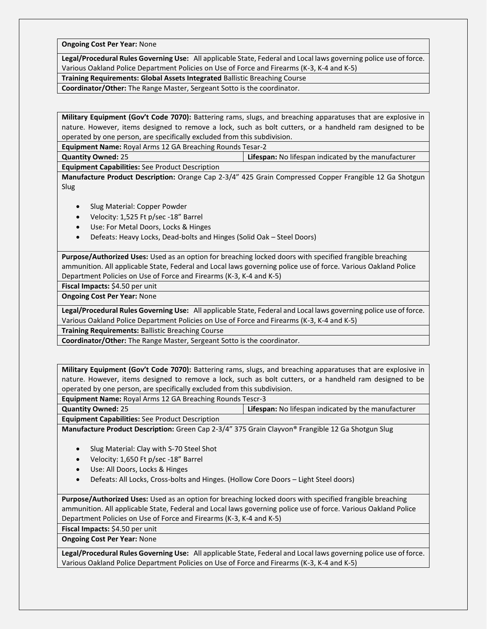**Ongoing Cost Per Year:** None

**Legal/Procedural Rules Governing Use:** All applicable State, Federal and Local laws governing police use of force. Various Oakland Police Department Policies on Use of Force and Firearms (K-3, K-4 and K-5)

**Training Requirements: Global Assets Integrated** Ballistic Breaching Course

**Coordinator/Other:** The Range Master, Sergeant Sotto is the coordinator.

**Military Equipment (Gov't Code 7070):** Battering rams, slugs, and breaching apparatuses that are explosive in nature. However, items designed to remove a lock, such as bolt cutters, or a handheld ram designed to be operated by one person, are specifically excluded from this subdivision.

**Equipment Name:** Royal Arms 12 GA Breaching Rounds Tesar-2

**Quantity Owned:** 25 **Lifespan:** No lifespan indicated by the manufacturer

**Equipment Capabilities:** See Product Description

**Manufacture Product Description:** Orange Cap 2-3/4" 425 Grain Compressed Copper Frangible 12 Ga Shotgun Slug

- Slug Material: Copper Powder
- Velocity: 1,525 Ft p/sec -18" Barrel
- Use: For Metal Doors, Locks & Hinges
- Defeats: Heavy Locks, Dead-bolts and Hinges (Solid Oak Steel Doors)

**Purpose/Authorized Uses:** Used as an option for breaching locked doors with specified frangible breaching ammunition. All applicable State, Federal and Local laws governing police use of force. Various Oakland Police Department Policies on Use of Force and Firearms (K-3, K-4 and K-5)

**Fiscal Impacts:** \$4.50 per unit

**Ongoing Cost Per Year:** None

**Legal/Procedural Rules Governing Use:** All applicable State, Federal and Local laws governing police use of force. Various Oakland Police Department Policies on Use of Force and Firearms (K-3, K-4 and K-5)

**Training Requirements:** Ballistic Breaching Course

**Coordinator/Other:** The Range Master, Sergeant Sotto is the coordinator.

**Military Equipment (Gov't Code 7070):** Battering rams, slugs, and breaching apparatuses that are explosive in nature. However, items designed to remove a lock, such as bolt cutters, or a handheld ram designed to be operated by one person, are specifically excluded from this subdivision.

**Equipment Name:** Royal Arms 12 GA Breaching Rounds Tescr-3

**Quantity Owned:** 25 **Lifespan:** No lifespan indicated by the manufacturer

**Equipment Capabilities:** See Product Description

**Manufacture Product Description:** Green Cap 2-3/4" 375 Grain Clayvon® Frangible 12 Ga Shotgun Slug

- Slug Material: Clay with S-70 Steel Shot
- Velocity: 1,650 Ft p/sec -18" Barrel
- Use: All Doors, Locks & Hinges
- Defeats: All Locks, Cross-bolts and Hinges. (Hollow Core Doors Light Steel doors)

**Purpose/Authorized Uses:** Used as an option for breaching locked doors with specified frangible breaching ammunition. All applicable State, Federal and Local laws governing police use of force. Various Oakland Police Department Policies on Use of Force and Firearms (K-3, K-4 and K-5)

**Fiscal Impacts:** \$4.50 per unit

**Ongoing Cost Per Year:** None

**Legal/Procedural Rules Governing Use:** All applicable State, Federal and Local laws governing police use of force. Various Oakland Police Department Policies on Use of Force and Firearms (K-3, K-4 and K-5)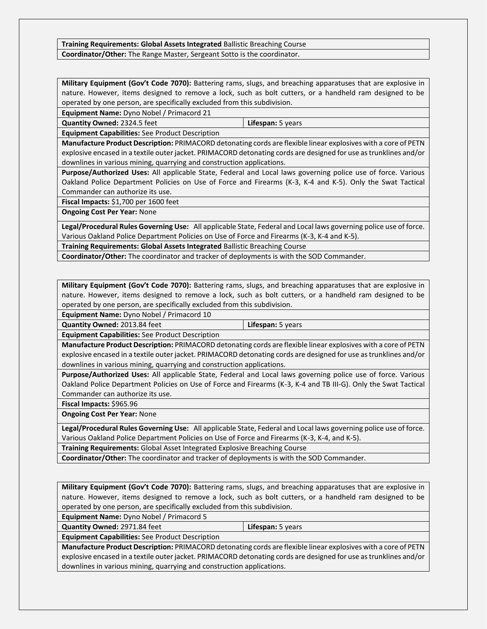#### **Training Requirements: Global Assets Integrated** Ballistic Breaching Course **Coordinator/Other:** The Range Master, Sergeant Sotto is the coordinator.

**Military Equipment (Gov't Code 7070):** Battering rams, slugs, and breaching apparatuses that are explosive in nature. However, items designed to remove a lock, such as bolt cutters, or a handheld ram designed to be operated by one person, are specifically excluded from this subdivision.

**Equipment Name:** Dyno Nobel / Primacord 21

**Quantity Owned:** 2324.5 feet **Lifespan:** 5 years

**Equipment Capabilities:** See Product Description

**Manufacture Product Description:** PRIMACORD detonating cords are flexible linear explosives with a core of PETN explosive encased in a textile outer jacket. PRIMACORD detonating cords are designed for use as trunklines and/or downlines in various mining, quarrying and construction applications.

**Purpose/Authorized Uses:** All applicable State, Federal and Local laws governing police use of force. Various Oakland Police Department Policies on Use of Force and Firearms (K-3, K-4 and K-5). Only the Swat Tactical Commander can authorize its use.

**Fiscal Impacts:** \$1,700 per 1600 feet

**Ongoing Cost Per Year:** None

**Legal/Procedural Rules Governing Use:** All applicable State, Federal and Local laws governing police use of force. Various Oakland Police Department Policies on Use of Force and Firearms (K-3, K-4 and K-5).

**Training Requirements: Global Assets Integrated** Ballistic Breaching Course

**Coordinator/Other:** The coordinator and tracker of deployments is with the SOD Commander.

**Military Equipment (Gov't Code 7070):** Battering rams, slugs, and breaching apparatuses that are explosive in nature. However, items designed to remove a lock, such as bolt cutters, or a handheld ram designed to be operated by one person, are specifically excluded from this subdivision.

**Equipment Name:** Dyno Nobel / Primacord 10

**Quantity Owned:** 2013.84 feet **Lifespan:** 5 years

**Equipment Capabilities:** See Product Description

**Manufacture Product Description:** PRIMACORD detonating cords are flexible linear explosives with a core of PETN explosive encased in a textile outer jacket. PRIMACORD detonating cords are designed for use as trunklines and/or downlines in various mining, quarrying and construction applications.

**Purpose/Authorized Uses:** All applicable State, Federal and Local laws governing police use of force. Various Oakland Police Department Policies on Use of Force and Firearms (K-3, K-4 and TB III-G). Only the Swat Tactical Commander can authorize its use.

**Fiscal Impacts:** \$965.96

**Ongoing Cost Per Year:** None

**Legal/Procedural Rules Governing Use:** All applicable State, Federal and Local laws governing police use of force. Various Oakland Police Department Policies on Use of Force and Firearms (K-3, K-4, and K-5).

**Training Requirements:** Global Asset Integrated Explosive Breaching Course

**Coordinator/Other:** The coordinator and tracker of deployments is with the SOD Commander.

**Military Equipment (Gov't Code 7070):** Battering rams, slugs, and breaching apparatuses that are explosive in nature. However, items designed to remove a lock, such as bolt cutters, or a handheld ram designed to be operated by one person, are specifically excluded from this subdivision.

**Equipment Name:** Dyno Nobel / Primacord 5

**Quantity Owned:** 2971.84 feet **Lifespan:** 5 years

**Equipment Capabilities:** See Product Description

**Manufacture Product Description:** PRIMACORD detonating cords are flexible linear explosives with a core of PETN explosive encased in a textile outer jacket. PRIMACORD detonating cords are designed for use as trunklines and/or downlines in various mining, quarrying and construction applications.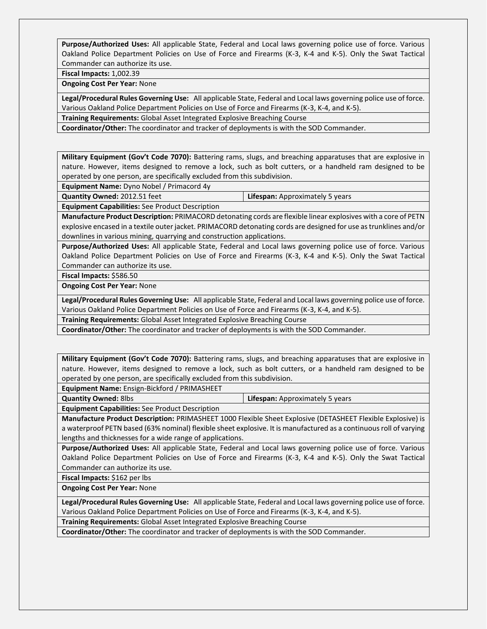**Purpose/Authorized Uses:** All applicable State, Federal and Local laws governing police use of force. Various Oakland Police Department Policies on Use of Force and Firearms (K-3, K-4 and K-5). Only the Swat Tactical Commander can authorize its use.

**Fiscal Impacts:** 1,002.39

**Ongoing Cost Per Year:** None

**Legal/Procedural Rules Governing Use:** All applicable State, Federal and Local laws governing police use of force. Various Oakland Police Department Policies on Use of Force and Firearms (K-3, K-4, and K-5).

**Training Requirements:** Global Asset Integrated Explosive Breaching Course

**Coordinator/Other:** The coordinator and tracker of deployments is with the SOD Commander.

**Military Equipment (Gov't Code 7070):** Battering rams, slugs, and breaching apparatuses that are explosive in nature. However, items designed to remove a lock, such as bolt cutters, or a handheld ram designed to be operated by one person, are specifically excluded from this subdivision.

**Equipment Name:** Dyno Nobel / Primacord 4y

**Quantity Owned:** 2012.51 feet **Lifespan:** Approximately 5 years **Equipment Capabilities:** See Product Description

**Manufacture Product Description:** PRIMACORD detonating cords are flexible linear explosives with a core of PETN explosive encased in a textile outer jacket. PRIMACORD detonating cords are designed for use as trunklines and/or downlines in various mining, quarrying and construction applications.

**Purpose/Authorized Uses:** All applicable State, Federal and Local laws governing police use of force. Various Oakland Police Department Policies on Use of Force and Firearms (K-3, K-4 and K-5). Only the Swat Tactical Commander can authorize its use.

**Fiscal Impacts:** \$586.50

**Ongoing Cost Per Year:** None

**Legal/Procedural Rules Governing Use:** All applicable State, Federal and Local laws governing police use of force. Various Oakland Police Department Policies on Use of Force and Firearms (K-3, K-4, and K-5).

**Training Requirements:** Global Asset Integrated Explosive Breaching Course

**Coordinator/Other:** The coordinator and tracker of deployments is with the SOD Commander.

**Military Equipment (Gov't Code 7070):** Battering rams, slugs, and breaching apparatuses that are explosive in nature. However, items designed to remove a lock, such as bolt cutters, or a handheld ram designed to be operated by one person, are specifically excluded from this subdivision.

**Equipment Name:** Ensign-Bickford / PRIMASHEET

**Quantity Owned:** 8lbs **Lifespan:** Approximately 5 years

**Equipment Capabilities:** See Product Description

**Manufacture Product Description:** PRIMASHEET 1000 Flexible Sheet Explosive (DETASHEET Flexible Explosive) is a waterproof PETN based (63% nominal) flexible sheet explosive. It is manufactured as a continuous roll of varying lengths and thicknesses for a wide range of applications.

**Purpose/Authorized Uses:** All applicable State, Federal and Local laws governing police use of force. Various Oakland Police Department Policies on Use of Force and Firearms (K-3, K-4 and K-5). Only the Swat Tactical Commander can authorize its use.

**Fiscal Impacts:** \$162 per lbs

**Ongoing Cost Per Year:** None

**Legal/Procedural Rules Governing Use:** All applicable State, Federal and Local laws governing police use of force. Various Oakland Police Department Policies on Use of Force and Firearms (K-3, K-4, and K-5).

**Training Requirements:** Global Asset Integrated Explosive Breaching Course

**Coordinator/Other:** The coordinator and tracker of deployments is with the SOD Commander.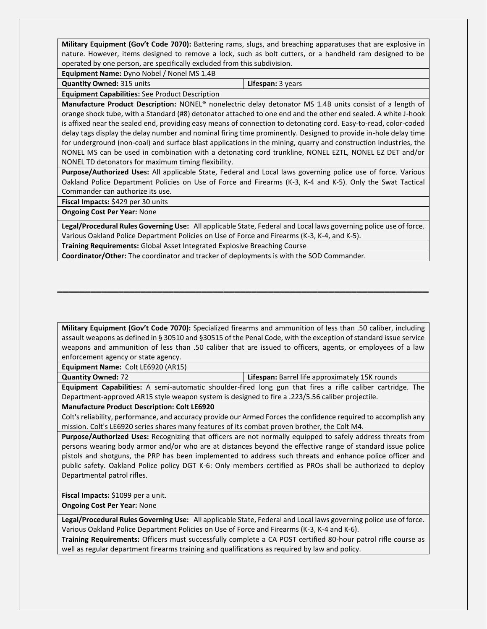**Military Equipment (Gov't Code 7070):** Battering rams, slugs, and breaching apparatuses that are explosive in nature. However, items designed to remove a lock, such as bolt cutters, or a handheld ram designed to be operated by one person, are specifically excluded from this subdivision.

**Equipment Name:** Dyno Nobel / Nonel MS 1.4B

**Quantity Owned:** 315 units **Lifespan:** 3 years

**Equipment Capabilities:** See Product Description

**Manufacture Product Description:** NONEL® nonelectric delay detonator MS 1.4B units consist of a length of orange shock tube, with a Standard (#8) detonator attached to one end and the other end sealed. A white J-hook is affixed near the sealed end, providing easy means of connection to detonating cord. Easy-to-read, color-coded delay tags display the delay number and nominal firing time prominently. Designed to provide in-hole delay time for underground (non-coal) and surface blast applications in the mining, quarry and construction industries, the NONEL MS can be used in combination with a detonating cord trunkline, NONEL EZTL, NONEL EZ DET and/or NONEL TD detonators for maximum timing flexibility.

**Purpose/Authorized Uses:** All applicable State, Federal and Local laws governing police use of force. Various Oakland Police Department Policies on Use of Force and Firearms (K-3, K-4 and K-5). Only the Swat Tactical Commander can authorize its use.

**Fiscal Impacts:** \$429 per 30 units

**Ongoing Cost Per Year:** None

**Legal/Procedural Rules Governing Use:** All applicable State, Federal and Local laws governing police use of force. Various Oakland Police Department Policies on Use of Force and Firearms (K-3, K-4, and K-5).

**Training Requirements:** Global Asset Integrated Explosive Breaching Course

**Coordinator/Other:** The coordinator and tracker of deployments is with the SOD Commander.

**Military Equipment (Gov't Code 7070):** Specialized firearms and ammunition of less than .50 caliber, including assault weapons as defined in § 30510 and §30515 of the Penal Code, with the exception of standard issue service weapons and ammunition of less than .50 caliber that are issued to officers, agents, or employees of a law enforcement agency or state agency.

**\_\_\_\_\_\_\_\_\_\_\_\_\_\_\_\_\_\_\_\_\_\_\_\_\_\_\_\_\_\_\_\_\_\_\_\_\_\_\_\_\_\_\_\_\_\_\_\_\_\_\_\_\_\_\_\_\_\_\_\_\_\_\_\_\_\_\_**

**Equipment Name:** Colt LE6920 (AR15)

**Quantity Owned:** 72 **Lifespan:** Barrel life approximately 15K rounds

**Equipment Capabilities:** A semi-automatic shoulder-fired long gun that fires a rifle caliber cartridge. The Department-approved AR15 style weapon system is designed to fire a .223/5.56 caliber projectile.

**Manufacture Product Description: Colt LE6920**

Colt's reliability, performance, and accuracy provide our Armed Forces the confidence required to accomplish any mission. Colt's LE6920 series shares many features of its combat proven brother, the Colt M4.

**Purpose/Authorized Uses:** Recognizing that officers are not normally equipped to safely address threats from persons wearing body armor and/or who are at distances beyond the effective range of standard issue police pistols and shotguns, the PRP has been implemented to address such threats and enhance police officer and public safety. Oakland Police policy DGT K-6: Only members certified as PROs shall be authorized to deploy Departmental patrol rifles.

**Fiscal Impacts:** \$1099 per a unit.

**Ongoing Cost Per Year:** None

**Legal/Procedural Rules Governing Use:** All applicable State, Federal and Local laws governing police use of force. Various Oakland Police Department Policies on Use of Force and Firearms (K-3, K-4 and K-6).

**Training Requirements:** Officers must successfully complete a CA POST certified 80-hour patrol rifle course as well as regular department firearms training and qualifications as required by law and policy.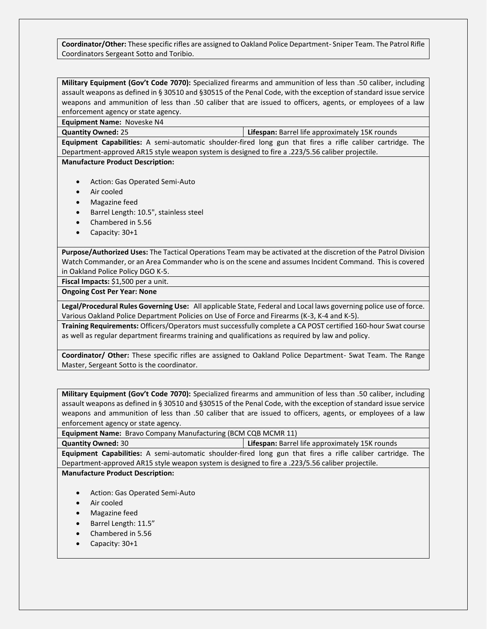**Coordinator/Other:** These specific rifles are assigned to Oakland Police Department- Sniper Team. The Patrol Rifle Coordinators Sergeant Sotto and Toribio.

**Military Equipment (Gov't Code 7070):** Specialized firearms and ammunition of less than .50 caliber, including assault weapons as defined in § 30510 and §30515 of the Penal Code, with the exception of standard issue service weapons and ammunition of less than .50 caliber that are issued to officers, agents, or employees of a law enforcement agency or state agency.

**Equipment Name:** Noveske N4

**Quantity Owned:** 25 **Lifespan:** Barrel life approximately 15K rounds

**Equipment Capabilities:** A semi-automatic shoulder-fired long gun that fires a rifle caliber cartridge. The Department-approved AR15 style weapon system is designed to fire a .223/5.56 caliber projectile.

**Manufacture Product Description:**

- Action: Gas Operated Semi-Auto
- Air cooled
- Magazine feed
- Barrel Length: 10.5", stainless steel
- Chambered in 5.56
- Capacity: 30+1

**Purpose/Authorized Uses:** The Tactical Operations Team may be activated at the discretion of the Patrol Division Watch Commander, or an Area Commander who is on the scene and assumes Incident Command. This is covered in Oakland Police Policy DGO K-5.

**Fiscal Impacts:** \$1,500 per a unit.

**Ongoing Cost Per Year: None**

**Legal/Procedural Rules Governing Use:** All applicable State, Federal and Local laws governing police use of force. Various Oakland Police Department Policies on Use of Force and Firearms (K-3, K-4 and K-5).

**Training Requirements:** Officers/Operators must successfully complete a CA POST certified 160-hour Swat course as well as regular department firearms training and qualifications as required by law and policy.

**Coordinator/ Other:** These specific rifles are assigned to Oakland Police Department- Swat Team. The Range Master, Sergeant Sotto is the coordinator.

**Military Equipment (Gov't Code 7070):** Specialized firearms and ammunition of less than .50 caliber, including assault weapons as defined in § 30510 and §30515 of the Penal Code, with the exception of standard issue service weapons and ammunition of less than .50 caliber that are issued to officers, agents, or employees of a law enforcement agency or state agency.

**Equipment Name:** Bravo Company Manufacturing (BCM CQB MCMR 11)

**Quantity Owned:** 30 **Lifespan:** Barrel life approximately 15K rounds

**Equipment Capabilities:** A semi-automatic shoulder-fired long gun that fires a rifle caliber cartridge. The Department-approved AR15 style weapon system is designed to fire a .223/5.56 caliber projectile.

**Manufacture Product Description:**

- Action: Gas Operated Semi-Auto
- Air cooled
- Magazine feed
- Barrel Length: 11.5"
- Chambered in 5.56
- Capacity: 30+1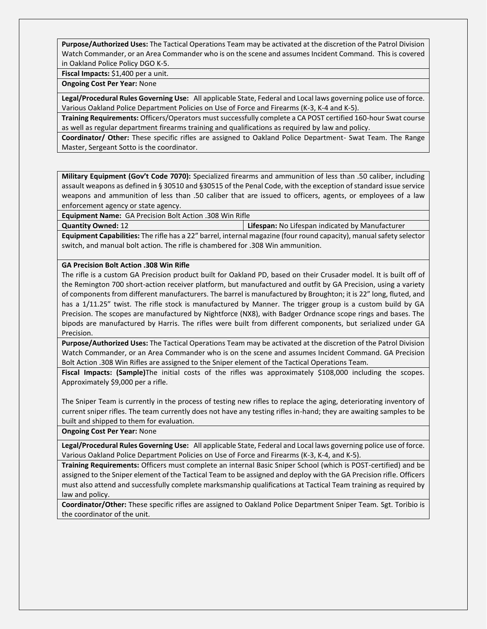**Purpose/Authorized Uses:** The Tactical Operations Team may be activated at the discretion of the Patrol Division Watch Commander, or an Area Commander who is on the scene and assumes Incident Command. This is covered in Oakland Police Policy DGO K-5.

**Fiscal Impacts:** \$1,400 per a unit.

**Ongoing Cost Per Year:** None

**Legal/Procedural Rules Governing Use:** All applicable State, Federal and Local laws governing police use of force. Various Oakland Police Department Policies on Use of Force and Firearms (K-3, K-4 and K-5).

**Training Requirements:** Officers/Operators must successfully complete a CA POST certified 160-hour Swat course as well as regular department firearms training and qualifications as required by law and policy.

**Coordinator/ Other:** These specific rifles are assigned to Oakland Police Department- Swat Team. The Range Master, Sergeant Sotto is the coordinator.

**Military Equipment (Gov't Code 7070):** Specialized firearms and ammunition of less than .50 caliber, including assault weapons as defined in § 30510 and §30515 of the Penal Code, with the exception of standard issue service weapons and ammunition of less than .50 caliber that are issued to officers, agents, or employees of a law enforcement agency or state agency.

**Equipment Name:** GA Precision Bolt Action .308 Win Rifle

**Quantity Owned:** 12 **Lifespan:** No Lifespan indicated by Manufacturer

**Equipment Capabilities:** The rifle has a 22" barrel, internal magazine (four round capacity), manual safety selector switch, and manual bolt action. The rifle is chambered for .308 Win ammunition.

#### **GA Precision Bolt Action .308 Win Rifle**

The rifle is a custom GA Precision product built for Oakland PD, based on their Crusader model. It is built off of the Remington 700 short-action receiver platform, but manufactured and outfit by GA Precision, using a variety of components from different manufacturers. The barrel is manufactured by Broughton; it is 22" long, fluted, and has a 1/11.25" twist. The rifle stock is manufactured by Manner. The trigger group is a custom build by GA Precision. The scopes are manufactured by Nightforce (NX8), with Badger Ordnance scope rings and bases. The bipods are manufactured by Harris. The rifles were built from different components, but serialized under GA Precision.

**Purpose/Authorized Uses:** The Tactical Operations Team may be activated at the discretion of the Patrol Division Watch Commander, or an Area Commander who is on the scene and assumes Incident Command. GA Precision Bolt Action .308 Win Rifles are assigned to the Sniper element of the Tactical Operations Team.

**Fiscal Impacts: (Sample)**The initial costs of the rifles was approximately \$108,000 including the scopes. Approximately \$9,000 per a rifle.

The Sniper Team is currently in the process of testing new rifles to replace the aging, deteriorating inventory of current sniper rifles. The team currently does not have any testing rifles in-hand; they are awaiting samples to be built and shipped to them for evaluation.

**Ongoing Cost Per Year:** None

**Legal/Procedural Rules Governing Use:** All applicable State, Federal and Local laws governing police use of force. Various Oakland Police Department Policies on Use of Force and Firearms (K-3, K-4, and K-5).

**Training Requirements:** Officers must complete an internal Basic Sniper School (which is POST-certified) and be assigned to the Sniper element of the Tactical Team to be assigned and deploy with the GA Precision rifle. Officers must also attend and successfully complete marksmanship qualifications at Tactical Team training as required by law and policy.

**Coordinator/Other:** These specific rifles are assigned to Oakland Police Department Sniper Team. Sgt. Toribio is the coordinator of the unit.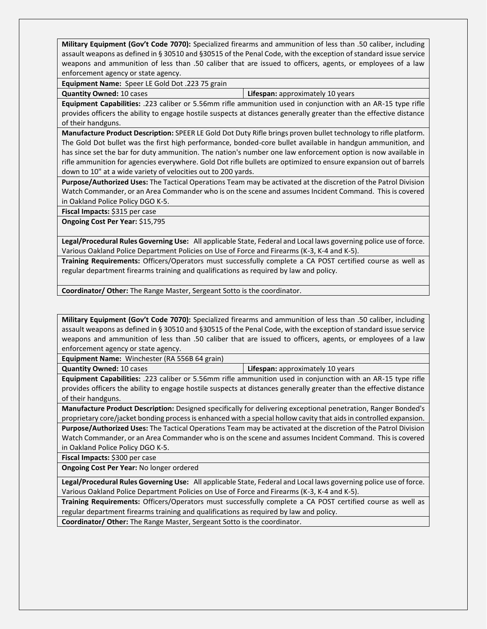**Military Equipment (Gov't Code 7070):** Specialized firearms and ammunition of less than .50 caliber, including assault weapons as defined in § 30510 and §30515 of the Penal Code, with the exception of standard issue service weapons and ammunition of less than .50 caliber that are issued to officers, agents, or employees of a law enforcement agency or state agency.

**Equipment Name:** Speer LE Gold Dot .223 75 grain

**Quantity Owned:** 10 cases **Lifespan:** approximately 10 years

**Equipment Capabilities:** .223 caliber or 5.56mm rifle ammunition used in conjunction with an AR-15 type rifle provides officers the ability to engage hostile suspects at distances generally greater than the effective distance of their handguns.

**Manufacture Product Description:** SPEER LE Gold Dot Duty Rifle brings proven bullet technology to rifle platform. The Gold Dot bullet was the first high performance, bonded-core bullet available in handgun ammunition, and has since set the bar for duty ammunition. The nation's number one law enforcement option is now available in rifle ammunition for agencies everywhere. Gold Dot rifle bullets are optimized to ensure expansion out of barrels down to 10" at a wide variety of velocities out to 200 yards.

**Purpose/Authorized Uses:** The Tactical Operations Team may be activated at the discretion of the Patrol Division Watch Commander, or an Area Commander who is on the scene and assumes Incident Command. This is covered in Oakland Police Policy DGO K-5.

**Fiscal Impacts:** \$315 per case

**Ongoing Cost Per Year:** \$15,795

**Legal/Procedural Rules Governing Use:** All applicable State, Federal and Local laws governing police use of force. Various Oakland Police Department Policies on Use of Force and Firearms (K-3, K-4 and K-5).

**Training Requirements:** Officers/Operators must successfully complete a CA POST certified course as well as regular department firearms training and qualifications as required by law and policy.

**Coordinator/ Other:** The Range Master, Sergeant Sotto is the coordinator.

**Military Equipment (Gov't Code 7070):** Specialized firearms and ammunition of less than .50 caliber, including assault weapons as defined in § 30510 and §30515 of the Penal Code, with the exception of standard issue service weapons and ammunition of less than .50 caliber that are issued to officers, agents, or employees of a law enforcement agency or state agency.

**Equipment Name:** Winchester (RA 556B 64 grain)

**Quantity Owned:** 10 cases **Lifespan:** approximately 10 years

**Equipment Capabilities:** .223 caliber or 5.56mm rifle ammunition used in conjunction with an AR-15 type rifle provides officers the ability to engage hostile suspects at distances generally greater than the effective distance of their handguns.

**Manufacture Product Description:** Designed specifically for delivering exceptional penetration, Ranger Bonded's proprietary core/jacket bonding process is enhanced with a special hollow cavity that aids in controlled expansion.

**Purpose/Authorized Uses:** The Tactical Operations Team may be activated at the discretion of the Patrol Division Watch Commander, or an Area Commander who is on the scene and assumes Incident Command. This is covered in Oakland Police Policy DGO K-5.

**Fiscal Impacts:** \$300 per case

**Ongoing Cost Per Year:** No longer ordered

**Legal/Procedural Rules Governing Use:** All applicable State, Federal and Local laws governing police use of force. Various Oakland Police Department Policies on Use of Force and Firearms (K-3, K-4 and K-5).

**Training Requirements:** Officers/Operators must successfully complete a CA POST certified course as well as regular department firearms training and qualifications as required by law and policy.

**Coordinator/ Other:** The Range Master, Sergeant Sotto is the coordinator.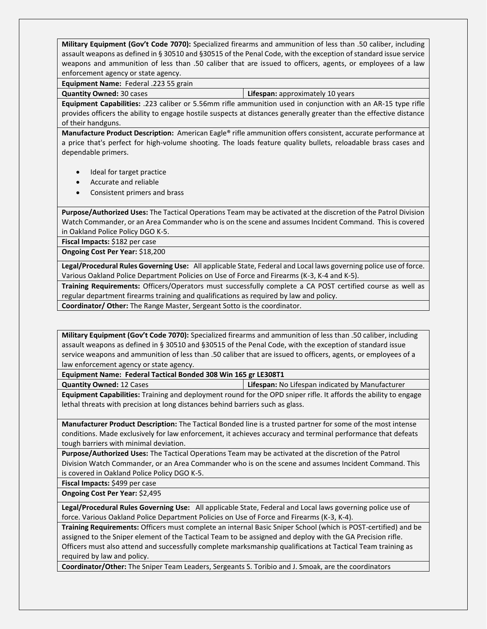**Military Equipment (Gov't Code 7070):** Specialized firearms and ammunition of less than .50 caliber, including assault weapons as defined in § 30510 and §30515 of the Penal Code, with the exception of standard issue service weapons and ammunition of less than .50 caliber that are issued to officers, agents, or employees of a law enforcement agency or state agency.

**Equipment Name:** Federal .223 55 grain

**Quantity Owned:** 30 cases **Lifespan:** approximately 10 years

**Equipment Capabilities:** .223 caliber or 5.56mm rifle ammunition used in conjunction with an AR-15 type rifle provides officers the ability to engage hostile suspects at distances generally greater than the effective distance of their handguns.

**Manufacture Product Description:** American Eagle® rifle ammunition offers consistent, accurate performance at a price that's perfect for high-volume shooting. The loads feature quality bullets, reloadable brass cases and dependable primers.

- Ideal for target practice
- Accurate and reliable
- Consistent primers and brass

**Purpose/Authorized Uses:** The Tactical Operations Team may be activated at the discretion of the Patrol Division Watch Commander, or an Area Commander who is on the scene and assumes Incident Command. This is covered in Oakland Police Policy DGO K-5.

**Fiscal Impacts:** \$182 per case

**Ongoing Cost Per Year:** \$18,200

**Legal/Procedural Rules Governing Use:** All applicable State, Federal and Local laws governing police use of force. Various Oakland Police Department Policies on Use of Force and Firearms (K-3, K-4 and K-5).

**Training Requirements:** Officers/Operators must successfully complete a CA POST certified course as well as regular department firearms training and qualifications as required by law and policy.

**Coordinator/ Other:** The Range Master, Sergeant Sotto is the coordinator.

**Military Equipment (Gov't Code 7070):** Specialized firearms and ammunition of less than .50 caliber, including assault weapons as defined in § 30510 and §30515 of the Penal Code, with the exception of standard issue service weapons and ammunition of less than .50 caliber that are issued to officers, agents, or employees of a law enforcement agency or state agency.

**Equipment Name: Federal Tactical Bonded 308 Win 165 gr LE308T1**

**Quantity Owned:** 12 Cases **Lifespan:** No Lifespan indicated by Manufacturer

**Equipment Capabilities:** Training and deployment round for the OPD sniper rifle. It affords the ability to engage lethal threats with precision at long distances behind barriers such as glass.

**Manufacturer Product Description:** The Tactical Bonded line is a trusted partner for some of the most intense conditions. Made exclusively for law enforcement, it achieves accuracy and terminal performance that defeats tough barriers with minimal deviation.

**Purpose/Authorized Uses:** The Tactical Operations Team may be activated at the discretion of the Patrol Division Watch Commander, or an Area Commander who is on the scene and assumes Incident Command. This is covered in Oakland Police Policy DGO K-5.

**Fiscal Impacts:** \$499 per case

**Ongoing Cost Per Year:** \$2,495

**Legal/Procedural Rules Governing Use:** All applicable State, Federal and Local laws governing police use of force. Various Oakland Police Department Policies on Use of Force and Firearms (K-3, K-4).

**Training Requirements:** Officers must complete an internal Basic Sniper School (which is POST-certified) and be assigned to the Sniper element of the Tactical Team to be assigned and deploy with the GA Precision rifle. Officers must also attend and successfully complete marksmanship qualifications at Tactical Team training as required by law and policy.

**Coordinator/Other:** The Sniper Team Leaders, Sergeants S. Toribio and J. Smoak, are the coordinators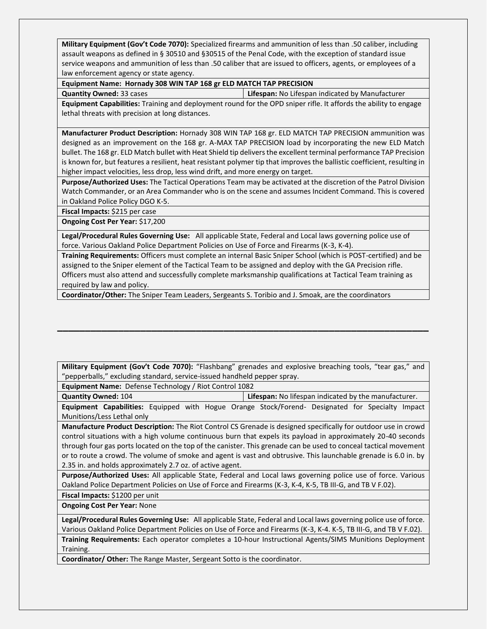**Military Equipment (Gov't Code 7070):** Specialized firearms and ammunition of less than .50 caliber, including assault weapons as defined in § 30510 and §30515 of the Penal Code, with the exception of standard issue service weapons and ammunition of less than .50 caliber that are issued to officers, agents, or employees of a law enforcement agency or state agency.

#### **Equipment Name: Hornady 308 WIN TAP 168 gr ELD MATCH TAP PRECISION**

**Quantity Owned:** 33 cases **Lifespan:** No Lifespan indicated by Manufacturer

**Equipment Capabilities:** Training and deployment round for the OPD sniper rifle. It affords the ability to engage lethal threats with precision at long distances.

**Manufacturer Product Description:** Hornady 308 WIN TAP 168 gr. ELD MATCH TAP PRECISION ammunition was designed as an improvement on the 168 gr. A-MAX TAP PRECISION load by incorporating the new ELD Match bullet. The 168 gr. ELD Match bullet with Heat Shield tip delivers the excellent terminal performance TAP Precision is known for, but features a resilient, heat resistant polymer tip that improves the ballistic coefficient, resulting in higher impact velocities, less drop, less wind drift, and more energy on target.

**Purpose/Authorized Uses:** The Tactical Operations Team may be activated at the discretion of the Patrol Division Watch Commander, or an Area Commander who is on the scene and assumes Incident Command. This is covered in Oakland Police Policy DGO K-5.

**Fiscal Impacts:** \$215 per case

**Ongoing Cost Per Year:** \$17,200

**Legal/Procedural Rules Governing Use:** All applicable State, Federal and Local laws governing police use of force. Various Oakland Police Department Policies on Use of Force and Firearms (K-3, K-4).

**Training Requirements:** Officers must complete an internal Basic Sniper School (which is POST-certified) and be assigned to the Sniper element of the Tactical Team to be assigned and deploy with the GA Precision rifle. Officers must also attend and successfully complete marksmanship qualifications at Tactical Team training as required by law and policy.

**Coordinator/Other:** The Sniper Team Leaders, Sergeants S. Toribio and J. Smoak, are the coordinators

**Military Equipment (Gov't Code 7070):** "Flashbang" grenades and explosive breaching tools, "tear gas," and "pepperballs," excluding standard, service-issued handheld pepper spray.

**\_\_\_\_\_\_\_\_\_\_\_\_\_\_\_\_\_\_\_\_\_\_\_\_\_\_\_\_\_\_\_\_\_\_\_\_\_\_\_\_\_\_\_\_\_\_\_\_\_\_\_\_\_\_\_\_\_\_\_\_\_\_\_\_\_\_\_**

**Equipment Name:** Defense Technology / Riot Control 1082

**Quantity Owned:** 104 **Lifespan:** No lifespan indicated by the manufacturer. **Equipment Capabilities:** Equipped with Hogue Orange Stock/Forend- Designated for Specialty Impact Munitions/Less Lethal only

**Manufacture Product Description:** The Riot Control CS Grenade is designed specifically for outdoor use in crowd control situations with a high volume continuous burn that expels its payload in approximately 20-40 seconds through four gas ports located on the top of the canister. This grenade can be used to conceal tactical movement or to route a crowd. The volume of smoke and agent is vast and obtrusive. This launchable grenade is 6.0 in. by 2.35 in. and holds approximately 2.7 oz. of active agent.

**Purpose/Authorized Uses:** All applicable State, Federal and Local laws governing police use of force. Various Oakland Police Department Policies on Use of Force and Firearms (K-3, K-4, K-5, TB III-G, and TB V F.02).

**Fiscal Impacts:** \$1200 per unit

**Ongoing Cost Per Year:** None

**Legal/Procedural Rules Governing Use:** All applicable State, Federal and Local laws governing police use of force. Various Oakland Police Department Policies on Use of Force and Firearms (K-3, K-4. K-5, TB III-G, and TB V F.02).

**Training Requirements:** Each operator completes a 10-hour Instructional Agents/SIMS Munitions Deployment Training.

**Coordinator/ Other:** The Range Master, Sergeant Sotto is the coordinator.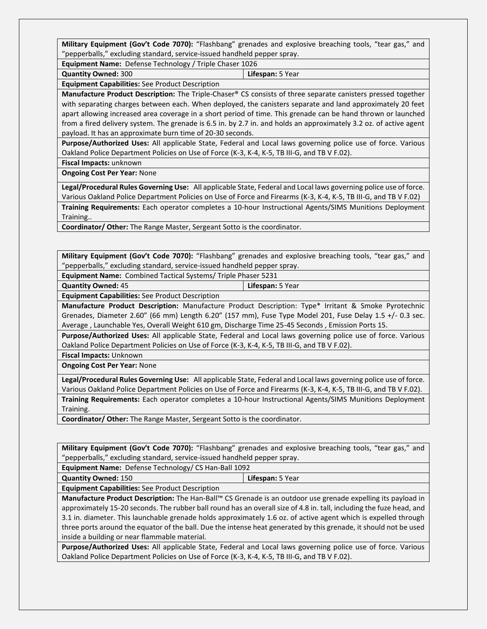**Military Equipment (Gov't Code 7070):** "Flashbang" grenades and explosive breaching tools, "tear gas," and "pepperballs," excluding standard, service-issued handheld pepper spray.

**Equipment Name:** Defense Technology / Triple Chaser 1026

**Quantity Owned:** 300 **Lifespan:** 5 Year

**Equipment Capabilities:** See Product Description

**Manufacture Product Description:** The Triple-Chaser® CS consists of three separate canisters pressed together with separating charges between each. When deployed, the canisters separate and land approximately 20 feet apart allowing increased area coverage in a short period of time. This grenade can be hand thrown or launched from a fired delivery system. The grenade is 6.5 in. by 2.7 in. and holds an approximately 3.2 oz. of active agent payload. It has an approximate burn time of 20-30 seconds.

**Purpose/Authorized Uses:** All applicable State, Federal and Local laws governing police use of force. Various Oakland Police Department Policies on Use of Force (K-3, K-4, K-5, TB III-G, and TB V F.02).

**Fiscal Impacts:** unknown

**Ongoing Cost Per Year:** None

**Legal/Procedural Rules Governing Use:** All applicable State, Federal and Local laws governing police use of force. Various Oakland Police Department Policies on Use of Force and Firearms (K-3, K-4, K-5, TB III-G, and TB V F.02) **Training Requirements:** Each operator completes a 10-hour Instructional Agents/SIMS Munitions Deployment

Training..

**Coordinator/ Other:** The Range Master, Sergeant Sotto is the coordinator.

**Military Equipment (Gov't Code 7070):** "Flashbang" grenades and explosive breaching tools, "tear gas," and "pepperballs," excluding standard, service-issued handheld pepper spray.

**Equipment Name:** Combined Tactical Systems/ Triple Phaser 5231

**Quantity Owned:** 45 **Lifespan:** 5 Year

**Equipment Capabilities:** See Product Description

**Manufacture Product Description:** Manufacture Product Description: Type\* Irritant & Smoke Pyrotechnic Grenades, Diameter 2.60" (66 mm) Length 6.20" (157 mm), Fuse Type Model 201, Fuse Delay 1.5 +/- 0.3 sec. Average , Launchable Yes, Overall Weight 610 gm, Discharge Time 25-45 Seconds , Emission Ports 15.

**Purpose/Authorized Uses:** All applicable State, Federal and Local laws governing police use of force. Various Oakland Police Department Policies on Use of Force (K-3, K-4, K-5, TB III-G, and TB V F.02).

**Fiscal Impacts:** Unknown

**Ongoing Cost Per Year:** None

**Legal/Procedural Rules Governing Use:** All applicable State, Federal and Local laws governing police use of force. Various Oakland Police Department Policies on Use of Force and Firearms (K-3, K-4, K-5, TB III-G, and TB V F.02). **Training Requirements:** Each operator completes a 10-hour Instructional Agents/SIMS Munitions Deployment Training.

**Coordinator/ Other:** The Range Master, Sergeant Sotto is the coordinator.

**Military Equipment (Gov't Code 7070):** "Flashbang" grenades and explosive breaching tools, "tear gas," and "pepperballs," excluding standard, service-issued handheld pepper spray.

**Equipment Name:** Defense Technology/ CS Han-Ball 1092

**Quantity Owned:** 150 **Lifespan:** 5 Year

**Equipment Capabilities:** See Product Description

**Manufacture Product Description:** The Han-Ball™ CS Grenade is an outdoor use grenade expelling its payload in approximately 15-20 seconds. The rubber ball round has an overall size of 4.8 in. tall, including the fuze head, and 3.1 in. diameter. This launchable grenade holds approximately 1.6 oz. of active agent which is expelled through three ports around the equator of the ball. Due the intense heat generated by this grenade, it should not be used inside a building or near flammable material.

**Purpose/Authorized Uses:** All applicable State, Federal and Local laws governing police use of force. Various Oakland Police Department Policies on Use of Force (K-3, K-4, K-5, TB III-G, and TB V F.02).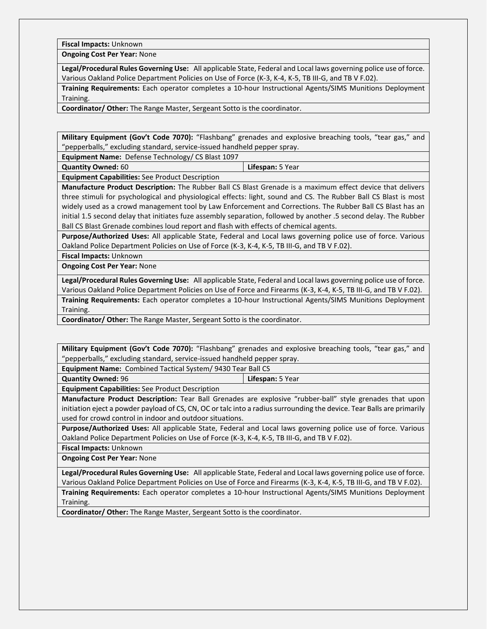**Fiscal Impacts:** Unknown

**Ongoing Cost Per Year:** None

**Legal/Procedural Rules Governing Use:** All applicable State, Federal and Local laws governing police use of force. Various Oakland Police Department Policies on Use of Force (K-3, K-4, K-5, TB III-G, and TB V F.02).

**Training Requirements:** Each operator completes a 10-hour Instructional Agents/SIMS Munitions Deployment Training.

**Coordinator/ Other:** The Range Master, Sergeant Sotto is the coordinator.

**Military Equipment (Gov't Code 7070):** "Flashbang" grenades and explosive breaching tools, "tear gas," and "pepperballs," excluding standard, service-issued handheld pepper spray.

**Equipment Name:** Defense Technology/ CS Blast 1097

**Quantity Owned:** 60 **Lifespan:** 5 Year

**Equipment Capabilities:** See Product Description

**Manufacture Product Description:** The Rubber Ball CS Blast Grenade is a maximum effect device that delivers three stimuli for psychological and physiological effects: light, sound and CS. The Rubber Ball CS Blast is most widely used as a crowd management tool by Law Enforcement and Corrections. The Rubber Ball CS Blast has an initial 1.5 second delay that initiates fuze assembly separation, followed by another .5 second delay. The Rubber Ball CS Blast Grenade combines loud report and flash with effects of chemical agents.

**Purpose/Authorized Uses:** All applicable State, Federal and Local laws governing police use of force. Various Oakland Police Department Policies on Use of Force (K-3, K-4, K-5, TB III-G, and TB V F.02).

**Fiscal Impacts:** Unknown

**Ongoing Cost Per Year:** None

**Legal/Procedural Rules Governing Use:** All applicable State, Federal and Local laws governing police use of force. Various Oakland Police Department Policies on Use of Force and Firearms (K-3, K-4, K-5, TB III-G, and TB V F.02). **Training Requirements:** Each operator completes a 10-hour Instructional Agents/SIMS Munitions Deployment Training.

**Coordinator/ Other:** The Range Master, Sergeant Sotto is the coordinator.

**Military Equipment (Gov't Code 7070):** "Flashbang" grenades and explosive breaching tools, "tear gas," and "pepperballs," excluding standard, service-issued handheld pepper spray.

**Equipment Name:** Combined Tactical System/ 9430 Tear Ball CS

**Quantity Owned:** 96 **Lifespan:** 5 Year

**Equipment Capabilities:** See Product Description

**Manufacture Product Description:** Tear Ball Grenades are explosive "rubber-ball" style grenades that upon initiation eject a powder payload of CS, CN, OC or talc into a radius surrounding the device. Tear Balls are primarily used for crowd control in indoor and outdoor situations.

**Purpose/Authorized Uses:** All applicable State, Federal and Local laws governing police use of force. Various Oakland Police Department Policies on Use of Force (K-3, K-4, K-5, TB III-G, and TB V F.02).

**Fiscal Impacts:** Unknown

**Ongoing Cost Per Year:** None

**Legal/Procedural Rules Governing Use:** All applicable State, Federal and Local laws governing police use of force. Various Oakland Police Department Policies on Use of Force and Firearms (K-3, K-4, K-5, TB III-G, and TB V F.02).

**Training Requirements:** Each operator completes a 10-hour Instructional Agents/SIMS Munitions Deployment Training.

**Coordinator/ Other:** The Range Master, Sergeant Sotto is the coordinator.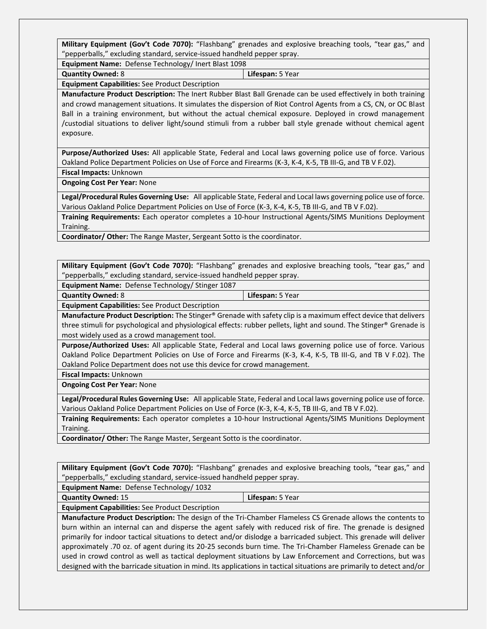**Military Equipment (Gov't Code 7070):** "Flashbang" grenades and explosive breaching tools, "tear gas," and "pepperballs," excluding standard, service-issued handheld pepper spray.

**Equipment Name:** Defense Technology/ Inert Blast 1098

**Quantity Owned:** 8 **Lifespan:** 5 Year

**Equipment Capabilities:** See Product Description

**Manufacture Product Description:** The Inert Rubber Blast Ball Grenade can be used effectively in both training and crowd management situations. It simulates the dispersion of Riot Control Agents from a CS, CN, or OC Blast Ball in a training environment, but without the actual chemical exposure. Deployed in crowd management /custodial situations to deliver light/sound stimuli from a rubber ball style grenade without chemical agent exposure.

**Purpose/Authorized Uses:** All applicable State, Federal and Local laws governing police use of force. Various Oakland Police Department Policies on Use of Force and Firearms (K-3, K-4, K-5, TB III-G, and TB V F.02).

**Fiscal Impacts:** Unknown

**Ongoing Cost Per Year:** None

**Legal/Procedural Rules Governing Use:** All applicable State, Federal and Local laws governing police use of force. Various Oakland Police Department Policies on Use of Force (K-3, K-4, K-5, TB III-G, and TB V F.02).

**Training Requirements:** Each operator completes a 10-hour Instructional Agents/SIMS Munitions Deployment Training.

**Coordinator/ Other:** The Range Master, Sergeant Sotto is the coordinator.

**Military Equipment (Gov't Code 7070):** "Flashbang" grenades and explosive breaching tools, "tear gas," and "pepperballs," excluding standard, service-issued handheld pepper spray.

**Equipment Name:** Defense Technology/ Stinger 1087

**Quantity Owned:** 8 **Lifespan:** 5 Year

**Equipment Capabilities:** See Product Description

**Manufacture Product Description:** The Stinger® Grenade with safety clip is a maximum effect device that delivers three stimuli for psychological and physiological effects: rubber pellets, light and sound. The Stinger® Grenade is most widely used as a crowd management tool.

**Purpose/Authorized Uses:** All applicable State, Federal and Local laws governing police use of force. Various Oakland Police Department Policies on Use of Force and Firearms (K-3, K-4, K-5, TB III-G, and TB V F.02). The Oakland Police Department does not use this device for crowd management.

**Fiscal Impacts:** Unknown

**Ongoing Cost Per Year:** None

**Legal/Procedural Rules Governing Use:** All applicable State, Federal and Local laws governing police use of force. Various Oakland Police Department Policies on Use of Force (K-3, K-4, K-5, TB III-G, and TB V F.02).

**Training Requirements:** Each operator completes a 10-hour Instructional Agents/SIMS Munitions Deployment Training.

**Coordinator/ Other:** The Range Master, Sergeant Sotto is the coordinator.

**Military Equipment (Gov't Code 7070):** "Flashbang" grenades and explosive breaching tools, "tear gas," and "pepperballs," excluding standard, service-issued handheld pepper spray.

**Equipment Name:** Defense Technology/ 1032

**Quantity Owned:** 15 **Lifespan:** 5 Year

**Equipment Capabilities:** See Product Description

**Manufacture Product Description:** The design of the Tri-Chamber Flameless CS Grenade allows the contents to burn within an internal can and disperse the agent safely with reduced risk of fire. The grenade is designed primarily for indoor tactical situations to detect and/or dislodge a barricaded subject. This grenade will deliver approximately .70 oz. of agent during its 20-25 seconds burn time. The Tri-Chamber Flameless Grenade can be used in crowd control as well as tactical deployment situations by Law Enforcement and Corrections, but was designed with the barricade situation in mind. Its applications in tactical situations are primarily to detect and/or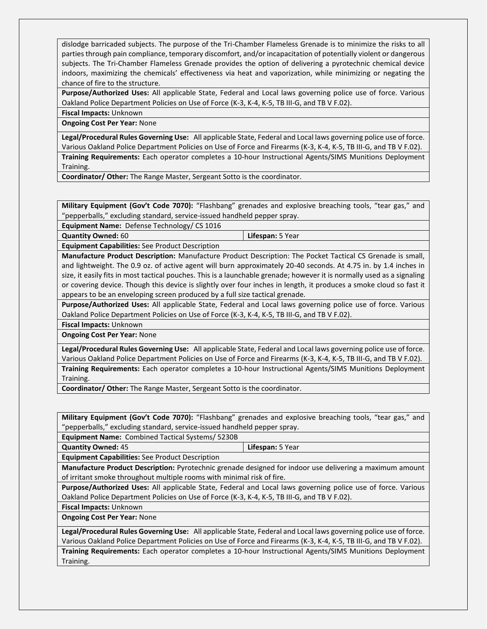dislodge barricaded subjects. The purpose of the Tri-Chamber Flameless Grenade is to minimize the risks to all parties through pain compliance, temporary discomfort, and/or incapacitation of potentially violent or dangerous subjects. The Tri-Chamber Flameless Grenade provides the option of delivering a pyrotechnic chemical device indoors, maximizing the chemicals' effectiveness via heat and vaporization, while minimizing or negating the chance of fire to the structure.

**Purpose/Authorized Uses:** All applicable State, Federal and Local laws governing police use of force. Various Oakland Police Department Policies on Use of Force (K-3, K-4, K-5, TB III-G, and TB V F.02).

**Fiscal Impacts:** Unknown

**Ongoing Cost Per Year:** None

**Legal/Procedural Rules Governing Use:** All applicable State, Federal and Local laws governing police use of force. Various Oakland Police Department Policies on Use of Force and Firearms (K-3, K-4, K-5, TB III-G, and TB V F.02). **Training Requirements:** Each operator completes a 10-hour Instructional Agents/SIMS Munitions Deployment Training.

**Coordinator/ Other:** The Range Master, Sergeant Sotto is the coordinator.

**Military Equipment (Gov't Code 7070):** "Flashbang" grenades and explosive breaching tools, "tear gas," and "pepperballs," excluding standard, service-issued handheld pepper spray.

**Equipment Name:** Defense Technology/ CS 1016

| <b>Quantity Owned: 60</b>                              | Lifespan: 5 Year |
|--------------------------------------------------------|------------------|
| <b>Equipment Capabilities:</b> See Product Description |                  |

**Manufacture Product Description:** Manufacture Product Description: The Pocket Tactical CS Grenade is small, and lightweight. The 0.9 oz. of active agent will burn approximately 20-40 seconds. At 4.75 in. by 1.4 inches in size, it easily fits in most tactical pouches. This is a launchable grenade; however it is normally used as a signaling or covering device. Though this device is slightly over four inches in length, it produces a smoke cloud so fast it appears to be an enveloping screen produced by a full size tactical grenade.

**Purpose/Authorized Uses:** All applicable State, Federal and Local laws governing police use of force. Various Oakland Police Department Policies on Use of Force (K-3, K-4, K-5, TB III-G, and TB V F.02).

**Fiscal Impacts:** Unknown

**Ongoing Cost Per Year:** None

**Legal/Procedural Rules Governing Use:** All applicable State, Federal and Local laws governing police use of force. Various Oakland Police Department Policies on Use of Force and Firearms (K-3, K-4, K-5, TB III-G, and TB V F.02). **Training Requirements:** Each operator completes a 10-hour Instructional Agents/SIMS Munitions Deployment Training.

**Coordinator/ Other:** The Range Master, Sergeant Sotto is the coordinator.

**Military Equipment (Gov't Code 7070):** "Flashbang" grenades and explosive breaching tools, "tear gas," and "pepperballs," excluding standard, service-issued handheld pepper spray.

**Equipment Name:** Combined Tactical Systems/ 5230B

**Quantity Owned:** 45 **Lifespan:** 5 Year

**Equipment Capabilities:** See Product Description

**Manufacture Product Description:** Pyrotechnic grenade designed for indoor use delivering a maximum amount of irritant smoke throughout multiple rooms with minimal risk of fire.

**Purpose/Authorized Uses:** All applicable State, Federal and Local laws governing police use of force. Various Oakland Police Department Policies on Use of Force (K-3, K-4, K-5, TB III-G, and TB V F.02).

**Fiscal Impacts:** Unknown

**Ongoing Cost Per Year:** None

**Legal/Procedural Rules Governing Use:** All applicable State, Federal and Local laws governing police use of force. Various Oakland Police Department Policies on Use of Force and Firearms (K-3, K-4, K-5, TB III-G, and TB V F.02).

**Training Requirements:** Each operator completes a 10-hour Instructional Agents/SIMS Munitions Deployment Training.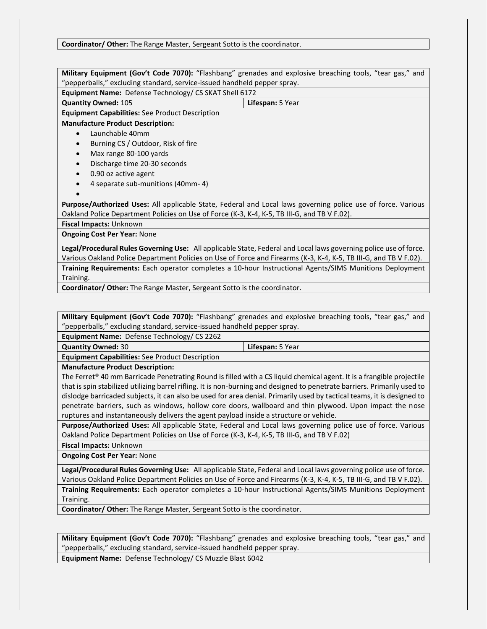#### **Coordinator/ Other:** The Range Master, Sergeant Sotto is the coordinator.

| Military Equipment (Gov't Code 7070): "Flashbang" grenades and explosive breaching tools, "tear gas," and         |                                                                                                              |  |
|-------------------------------------------------------------------------------------------------------------------|--------------------------------------------------------------------------------------------------------------|--|
| "pepperballs," excluding standard, service-issued handheld pepper spray.                                          |                                                                                                              |  |
| Equipment Name: Defense Technology/ CS SKAT Shell 6172                                                            |                                                                                                              |  |
| <b>Quantity Owned: 105</b>                                                                                        | Lifespan: 5 Year                                                                                             |  |
| <b>Equipment Capabilities:</b> See Product Description                                                            |                                                                                                              |  |
| <b>Manufacture Product Description:</b>                                                                           |                                                                                                              |  |
| Launchable 40mm                                                                                                   |                                                                                                              |  |
| Burning CS / Outdoor, Risk of fire                                                                                |                                                                                                              |  |
| Max range 80-100 yards<br>$\bullet$                                                                               |                                                                                                              |  |
| Discharge time 20-30 seconds<br>$\bullet$                                                                         |                                                                                                              |  |
| 0.90 oz active agent<br>$\bullet$                                                                                 |                                                                                                              |  |
| 4 separate sub-munitions (40mm-4)                                                                                 |                                                                                                              |  |
|                                                                                                                   |                                                                                                              |  |
|                                                                                                                   | Purpose/Authorized Uses: All applicable State, Federal and Local laws governing police use of force. Various |  |
| Oakland Police Department Policies on Use of Force (K-3, K-4, K-5, TB III-G, and TB V F.02).                      |                                                                                                              |  |
| <b>Fiscal Impacts: Unknown</b>                                                                                    |                                                                                                              |  |
| <b>Ongoing Cost Per Year: None</b>                                                                                |                                                                                                              |  |
| Legal/Procedural Rules Governing Use: All applicable State, Federal and Local laws governing police use of force. |                                                                                                              |  |

Various Oakland Police Department Policies on Use of Force and Firearms (K-3, K-4, K-5, TB III-G, and TB V F.02). **Training Requirements:** Each operator completes a 10-hour Instructional Agents/SIMS Munitions Deployment Training.

**Coordinator/ Other:** The Range Master, Sergeant Sotto is the coordinator.

**Military Equipment (Gov't Code 7070):** "Flashbang" grenades and explosive breaching tools, "tear gas," and "pepperballs," excluding standard, service-issued handheld pepper spray.

**Equipment Name:** Defense Technology/ CS 2262

**Quantity Owned:** 30 **Lifespan:** 5 Year

**Equipment Capabilities:** See Product Description

**Manufacture Product Description:**

The Ferret<sup>®</sup> 40 mm Barricade Penetrating Round is filled with a CS liquid chemical agent. It is a frangible projectile that is spin stabilized utilizing barrel rifling. It is non-burning and designed to penetrate barriers. Primarily used to dislodge barricaded subjects, it can also be used for area denial. Primarily used by tactical teams, it is designed to penetrate barriers, such as windows, hollow core doors, wallboard and thin plywood. Upon impact the nose ruptures and instantaneously delivers the agent payload inside a structure or vehicle.

**Purpose/Authorized Uses:** All applicable State, Federal and Local laws governing police use of force. Various Oakland Police Department Policies on Use of Force (K-3, K-4, K-5, TB III-G, and TB V F.02)

**Fiscal Impacts:** Unknown

**Ongoing Cost Per Year:** None

**Legal/Procedural Rules Governing Use:** All applicable State, Federal and Local laws governing police use of force. Various Oakland Police Department Policies on Use of Force and Firearms (K-3, K-4, K-5, TB III-G, and TB V F.02). **Training Requirements:** Each operator completes a 10-hour Instructional Agents/SIMS Munitions Deployment Training.

**Coordinator/ Other:** The Range Master, Sergeant Sotto is the coordinator.

**Military Equipment (Gov't Code 7070):** "Flashbang" grenades and explosive breaching tools, "tear gas," and "pepperballs," excluding standard, service-issued handheld pepper spray. **Equipment Name:** Defense Technology/ CS Muzzle Blast 6042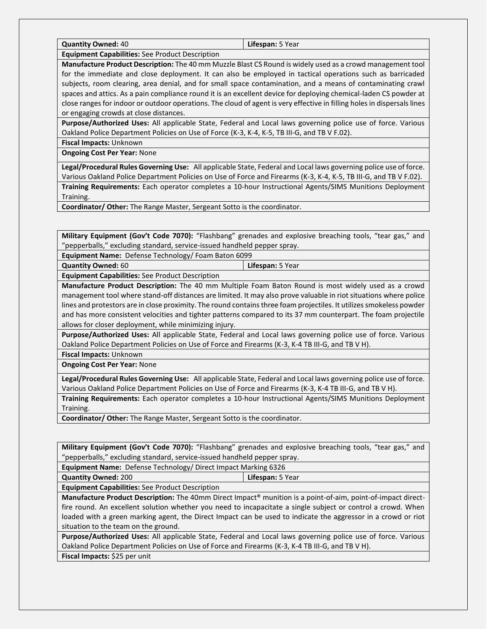**Quantity Owned:** 40 **Lifespan:** 5 Year

**Equipment Capabilities:** See Product Description

**Manufacture Product Description:** The 40 mm Muzzle Blast CS Round is widely used as a crowd management tool for the immediate and close deployment. It can also be employed in tactical operations such as barricaded subjects, room clearing, area denial, and for small space contamination, and a means of contaminating crawl spaces and attics. As a pain compliance round it is an excellent device for deploying chemical-laden CS powder at close ranges for indoor or outdoor operations. The cloud of agent is very effective in filling holes in dispersals lines or engaging crowds at close distances.

**Purpose/Authorized Uses:** All applicable State, Federal and Local laws governing police use of force. Various Oakland Police Department Policies on Use of Force (K-3, K-4, K-5, TB III-G, and TB V F.02).

**Fiscal Impacts:** Unknown

**Ongoing Cost Per Year:** None

**Legal/Procedural Rules Governing Use:** All applicable State, Federal and Local laws governing police use of force. Various Oakland Police Department Policies on Use of Force and Firearms (K-3, K-4, K-5, TB III-G, and TB V F.02).

**Training Requirements:** Each operator completes a 10-hour Instructional Agents/SIMS Munitions Deployment Training.

**Coordinator/ Other:** The Range Master, Sergeant Sotto is the coordinator.

**Military Equipment (Gov't Code 7070):** "Flashbang" grenades and explosive breaching tools, "tear gas," and "pepperballs," excluding standard, service-issued handheld pepper spray.

**Equipment Name:** Defense Technology/ Foam Baton 6099

**Quantity Owned:** 60 **Lifespan:** 5 Year

**Equipment Capabilities:** See Product Description

**Manufacture Product Description:** The 40 mm Multiple Foam Baton Round is most widely used as a crowd management tool where stand-off distances are limited. It may also prove valuable in riot situations where police lines and protestors are in close proximity. The round contains three foam projectiles. It utilizes smokeless powder and has more consistent velocities and tighter patterns compared to its 37 mm counterpart. The foam projectile allows for closer deployment, while minimizing injury.

**Purpose/Authorized Uses:** All applicable State, Federal and Local laws governing police use of force. Various Oakland Police Department Policies on Use of Force and Firearms (K-3, K-4 TB III-G, and TB V H).

**Fiscal Impacts:** Unknown

**Ongoing Cost Per Year:** None

**Legal/Procedural Rules Governing Use:** All applicable State, Federal and Local laws governing police use of force. Various Oakland Police Department Policies on Use of Force and Firearms (K-3, K-4 TB III-G, and TB V H).

**Training Requirements:** Each operator completes a 10-hour Instructional Agents/SIMS Munitions Deployment Training.

**Coordinator/ Other:** The Range Master, Sergeant Sotto is the coordinator.

**Military Equipment (Gov't Code 7070):** "Flashbang" grenades and explosive breaching tools, "tear gas," and "pepperballs," excluding standard, service-issued handheld pepper spray.

**Equipment Name:** Defense Technology/ Direct Impact Marking 6326

**Quantity Owned:** 200 **Lifespan:** 5 Year

**Equipment Capabilities:** See Product Description

**Manufacture Product Description:** The 40mm Direct Impact® munition is a point-of-aim, point-of-impact directfire round. An excellent solution whether you need to incapacitate a single subject or control a crowd. When loaded with a green marking agent, the Direct Impact can be used to indicate the aggressor in a crowd or riot situation to the team on the ground.

**Purpose/Authorized Uses:** All applicable State, Federal and Local laws governing police use of force. Various Oakland Police Department Policies on Use of Force and Firearms (K-3, K-4 TB III-G, and TB V H). **Fiscal Impacts:** \$25 per unit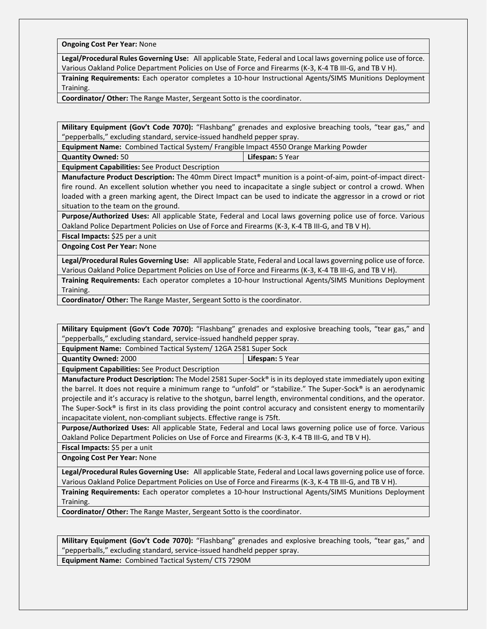**Ongoing Cost Per Year:** None

**Legal/Procedural Rules Governing Use:** All applicable State, Federal and Local laws governing police use of force. Various Oakland Police Department Policies on Use of Force and Firearms (K-3, K-4 TB III-G, and TB V H).

**Training Requirements:** Each operator completes a 10-hour Instructional Agents/SIMS Munitions Deployment Training.

**Coordinator/ Other:** The Range Master, Sergeant Sotto is the coordinator.

**Military Equipment (Gov't Code 7070):** "Flashbang" grenades and explosive breaching tools, "tear gas," and "pepperballs," excluding standard, service-issued handheld pepper spray.

**Equipment Name:** Combined Tactical System/ Frangible Impact 4550 Orange Marking Powder

**Quantity Owned:** 50 **Lifespan:** 5 Year

**Equipment Capabilities:** See Product Description

**Manufacture Product Description:** The 40mm Direct Impact® munition is a point-of-aim, point-of-impact directfire round. An excellent solution whether you need to incapacitate a single subject or control a crowd. When loaded with a green marking agent, the Direct Impact can be used to indicate the aggressor in a crowd or riot situation to the team on the ground.

**Purpose/Authorized Uses:** All applicable State, Federal and Local laws governing police use of force. Various Oakland Police Department Policies on Use of Force and Firearms (K-3, K-4 TB III-G, and TB V H).

**Fiscal Impacts:** \$25 per a unit

**Ongoing Cost Per Year:** None

**Legal/Procedural Rules Governing Use:** All applicable State, Federal and Local laws governing police use of force. Various Oakland Police Department Policies on Use of Force and Firearms (K-3, K-4 TB III-G, and TB V H).

**Training Requirements:** Each operator completes a 10-hour Instructional Agents/SIMS Munitions Deployment Training.

**Coordinator/ Other:** The Range Master, Sergeant Sotto is the coordinator.

**Military Equipment (Gov't Code 7070):** "Flashbang" grenades and explosive breaching tools, "tear gas," and "pepperballs," excluding standard, service-issued handheld pepper spray.

**Equipment Name:** Combined Tactical System/ 12GA 2581 Super Sock

**Quantity Owned:** 2000 **Lifespan:** 5 Year

**Equipment Capabilities:** See Product Description

**Manufacture Product Description:** The Model 2581 Super-Sock® is in its deployed state immediately upon exiting the barrel. It does not require a minimum range to "unfold" or "stabilize." The Super-Sock® is an aerodynamic projectile and it's accuracy is relative to the shotgun, barrel length, environmental conditions, and the operator. The Super-Sock® is first in its class providing the point control accuracy and consistent energy to momentarily incapacitate violent, non-compliant subjects. Effective range is 75ft.

**Purpose/Authorized Uses:** All applicable State, Federal and Local laws governing police use of force. Various Oakland Police Department Policies on Use of Force and Firearms (K-3, K-4 TB III-G, and TB V H).

**Fiscal Impacts:** \$5 per a unit

**Ongoing Cost Per Year:** None

**Legal/Procedural Rules Governing Use:** All applicable State, Federal and Local laws governing police use of force. Various Oakland Police Department Policies on Use of Force and Firearms (K-3, K-4 TB III-G, and TB V H).

**Training Requirements:** Each operator completes a 10-hour Instructional Agents/SIMS Munitions Deployment Training.

**Coordinator/ Other:** The Range Master, Sergeant Sotto is the coordinator.

**Military Equipment (Gov't Code 7070):** "Flashbang" grenades and explosive breaching tools, "tear gas," and "pepperballs," excluding standard, service-issued handheld pepper spray.

**Equipment Name:** Combined Tactical System/ CTS 7290M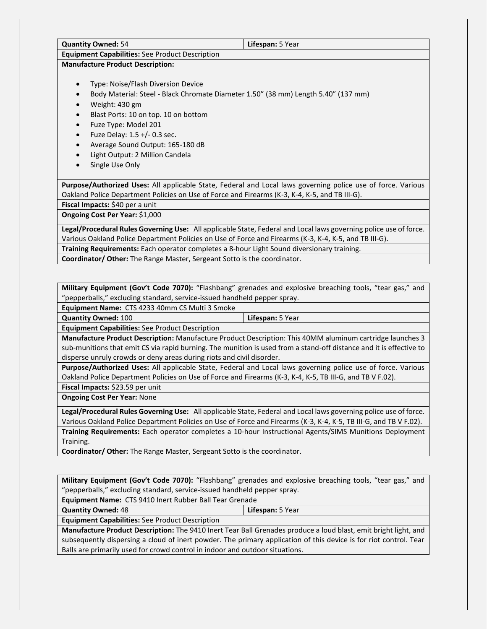| <b>Quantity Owned: 54</b>                              | Lifespan: 5 Year                                                                                                  |
|--------------------------------------------------------|-------------------------------------------------------------------------------------------------------------------|
| <b>Equipment Capabilities:</b> See Product Description |                                                                                                                   |
| <b>Manufacture Product Description:</b>                |                                                                                                                   |
| Type: Noise/Flash Diversion Device                     |                                                                                                                   |
|                                                        | Body Material: Steel - Black Chromate Diameter 1.50" (38 mm) Length 5.40" (137 mm)                                |
| Weight: 430 gm                                         |                                                                                                                   |
| Blast Ports: 10 on top. 10 on bottom                   |                                                                                                                   |
| Fuze Type: Model 201                                   |                                                                                                                   |
| Fuze Delay: 1.5 +/- 0.3 sec.                           |                                                                                                                   |
| Average Sound Output: 165-180 dB                       |                                                                                                                   |
| Light Output: 2 Million Candela                        |                                                                                                                   |
| Single Use Only                                        |                                                                                                                   |
|                                                        | Purpose/Authorized Uses: All applicable State, Federal and Local laws governing police use of force. Various      |
|                                                        | Oakland Police Department Policies on Use of Force and Firearms (K-3, K-4, K-5, and TB III-G).                    |
| Fiscal Impacts: \$40 per a unit                        |                                                                                                                   |
| <b>Ongoing Cost Per Year: \$1,000</b>                  |                                                                                                                   |
|                                                        | Legal/Procedural Rules Governing Use: All applicable State, Federal and Local laws governing police use of force. |
|                                                        | Various Oakland Police Department Policies on Use of Force and Firearms (K-3, K-4, K-5, and TB III-G).            |
|                                                        | Training Requirements: Each operator completes a 8-hour Light Sound diversionary training.                        |

**Coordinator/ Other:** The Range Master, Sergeant Sotto is the coordinator.

**Military Equipment (Gov't Code 7070):** "Flashbang" grenades and explosive breaching tools, "tear gas," and "pepperballs," excluding standard, service-issued handheld pepper spray.

**Equipment Name:** CTS 4233 40mm CS Multi 3 Smoke

**Quantity Owned:** 100 **Lifespan:** 5 Year

**Equipment Capabilities:** See Product Description

**Manufacture Product Description:** Manufacture Product Description: This 40MM aluminum cartridge launches 3 sub-munitions that emit CS via rapid burning. The munition is used from a stand-off distance and it is effective to disperse unruly crowds or deny areas during riots and civil disorder.

**Purpose/Authorized Uses:** All applicable State, Federal and Local laws governing police use of force. Various Oakland Police Department Policies on Use of Force and Firearms (K-3, K-4, K-5, TB III-G, and TB V F.02). **Fiscal Impacts:** \$23.59 per unit

**Ongoing Cost Per Year:** None

**Legal/Procedural Rules Governing Use:** All applicable State, Federal and Local laws governing police use of force. Various Oakland Police Department Policies on Use of Force and Firearms (K-3, K-4, K-5, TB III-G, and TB V F.02). **Training Requirements:** Each operator completes a 10-hour Instructional Agents/SIMS Munitions Deployment Training.

**Coordinator/ Other:** The Range Master, Sergeant Sotto is the coordinator.

**Military Equipment (Gov't Code 7070):** "Flashbang" grenades and explosive breaching tools, "tear gas," and "pepperballs," excluding standard, service-issued handheld pepper spray.

**Equipment Name:** CTS 9410 Inert Rubber Ball Tear Grenade

**Quantity Owned:** 48 **Lifespan:** 5 Year

**Equipment Capabilities:** See Product Description

**Manufacture Product Description:** The 9410 Inert Tear Ball Grenades produce a loud blast, emit bright light, and subsequently dispersing a cloud of inert powder. The primary application of this device is for riot control. Tear Balls are primarily used for crowd control in indoor and outdoor situations.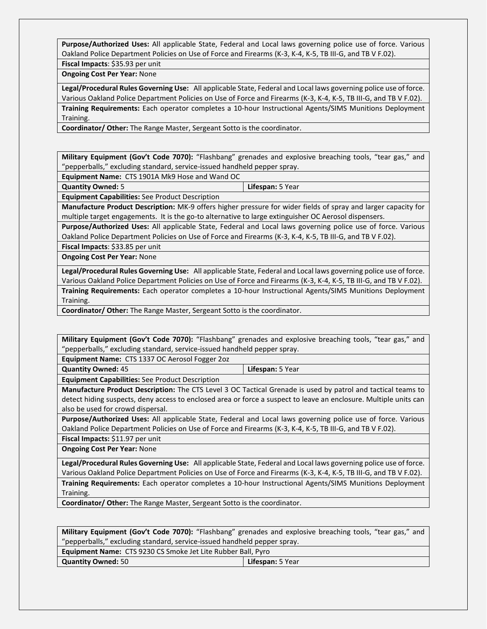**Purpose/Authorized Uses:** All applicable State, Federal and Local laws governing police use of force. Various Oakland Police Department Policies on Use of Force and Firearms (K-3, K-4, K-5, TB III-G, and TB V F.02).

**Fiscal Impacts**: \$35.93 per unit

**Ongoing Cost Per Year:** None

**Legal/Procedural Rules Governing Use:** All applicable State, Federal and Local laws governing police use of force. Various Oakland Police Department Policies on Use of Force and Firearms (K-3, K-4, K-5, TB III-G, and TB V F.02). **Training Requirements:** Each operator completes a 10-hour Instructional Agents/SIMS Munitions Deployment Training.

**Coordinator/ Other:** The Range Master, Sergeant Sotto is the coordinator.

**Military Equipment (Gov't Code 7070):** "Flashbang" grenades and explosive breaching tools, "tear gas," and "pepperballs," excluding standard, service-issued handheld pepper spray.

**Equipment Name:** CTS 1901A Mk9 Hose and Wand OC

**Quantity Owned:** 5 **Lifespan:** 5 Year

**Equipment Capabilities:** See Product Description

**Manufacture Product Description:** MK-9 offers higher pressure for wider fields of spray and larger capacity for multiple target engagements. It is the go-to alternative to large extinguisher OC Aerosol dispensers.

**Purpose/Authorized Uses:** All applicable State, Federal and Local laws governing police use of force. Various Oakland Police Department Policies on Use of Force and Firearms (K-3, K-4, K-5, TB III-G, and TB V F.02).

**Fiscal Impacts**: \$33.85 per unit

**Ongoing Cost Per Year:** None

**Legal/Procedural Rules Governing Use:** All applicable State, Federal and Local laws governing police use of force. Various Oakland Police Department Policies on Use of Force and Firearms (K-3, K-4, K-5, TB III-G, and TB V F.02).

**Training Requirements:** Each operator completes a 10-hour Instructional Agents/SIMS Munitions Deployment Training.

**Coordinator/ Other:** The Range Master, Sergeant Sotto is the coordinator.

**Military Equipment (Gov't Code 7070):** "Flashbang" grenades and explosive breaching tools, "tear gas," and "pepperballs," excluding standard, service-issued handheld pepper spray.

**Equipment Name:** CTS 1337 OC Aerosol Fogger 2oz

**Quantity Owned:** 45 **Lifespan:** 5 Year

**Equipment Capabilities:** See Product Description

**Manufacture Product Description:** The CTS Level 3 OC Tactical Grenade is used by patrol and tactical teams to detect hiding suspects, deny access to enclosed area or force a suspect to leave an enclosure. Multiple units can also be used for crowd dispersal.

**Purpose/Authorized Uses:** All applicable State, Federal and Local laws governing police use of force. Various Oakland Police Department Policies on Use of Force and Firearms (K-3, K-4, K-5, TB III-G, and TB V F.02).

**Fiscal Impacts:** \$11.97 per unit

**Ongoing Cost Per Year:** None

**Legal/Procedural Rules Governing Use:** All applicable State, Federal and Local laws governing police use of force. Various Oakland Police Department Policies on Use of Force and Firearms (K-3, K-4, K-5, TB III-G, and TB V F.02). **Training Requirements:** Each operator completes a 10-hour Instructional Agents/SIMS Munitions Deployment Training.

**Coordinator/ Other:** The Range Master, Sergeant Sotto is the coordinator.

**Military Equipment (Gov't Code 7070):** "Flashbang" grenades and explosive breaching tools, "tear gas," and "pepperballs," excluding standard, service-issued handheld pepper spray.

| Equipment Name: CTS 9230 CS Smoke Jet Lite Rubber Ball, Pyro |                         |
|--------------------------------------------------------------|-------------------------|
| <b>Quantity Owned: 50</b>                                    | <b>Lifespan: 5 Year</b> |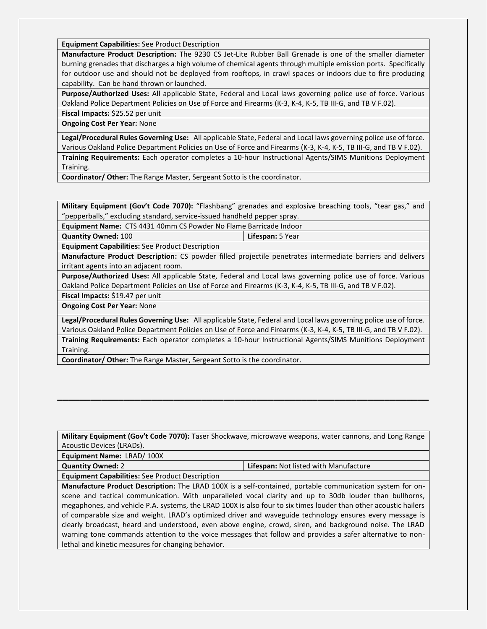**Equipment Capabilities:** See Product Description

**Manufacture Product Description:** The 9230 CS Jet-Lite Rubber Ball Grenade is one of the smaller diameter burning grenades that discharges a high volume of chemical agents through multiple emission ports. Specifically for outdoor use and should not be deployed from rooftops, in crawl spaces or indoors due to fire producing capability. Can be hand thrown or launched.

**Purpose/Authorized Uses:** All applicable State, Federal and Local laws governing police use of force. Various Oakland Police Department Policies on Use of Force and Firearms (K-3, K-4, K-5, TB III-G, and TB V F.02).

**Fiscal Impacts:** \$25.52 per unit **Ongoing Cost Per Year:** None

**Legal/Procedural Rules Governing Use:** All applicable State, Federal and Local laws governing police use of force. Various Oakland Police Department Policies on Use of Force and Firearms (K-3, K-4, K-5, TB III-G, and TB V F.02).

**Training Requirements:** Each operator completes a 10-hour Instructional Agents/SIMS Munitions Deployment Training.

**Coordinator/ Other:** The Range Master, Sergeant Sotto is the coordinator.

**Military Equipment (Gov't Code 7070):** "Flashbang" grenades and explosive breaching tools, "tear gas," and "pepperballs," excluding standard, service-issued handheld pepper spray.

**Equipment Name:** CTS 4431 40mm CS Powder No Flame Barricade Indoor

**Quantity Owned:** 100 **Lifespan:** 5 Year

**Equipment Capabilities:** See Product Description

**Manufacture Product Description:** CS powder filled projectile penetrates intermediate barriers and delivers irritant agents into an adjacent room.

**Purpose/Authorized Uses:** All applicable State, Federal and Local laws governing police use of force. Various Oakland Police Department Policies on Use of Force and Firearms (K-3, K-4, K-5, TB III-G, and TB V F.02).

**Fiscal Impacts:** \$19.47 per unit

**Ongoing Cost Per Year:** None

**Legal/Procedural Rules Governing Use:** All applicable State, Federal and Local laws governing police use of force. Various Oakland Police Department Policies on Use of Force and Firearms (K-3, K-4, K-5, TB III-G, and TB V F.02). **Training Requirements:** Each operator completes a 10-hour Instructional Agents/SIMS Munitions Deployment Training.

**Coordinator/ Other:** The Range Master, Sergeant Sotto is the coordinator.

**Military Equipment (Gov't Code 7070):** Taser Shockwave, microwave weapons, water cannons, and Long Range Acoustic Devices (LRADs).

**\_\_\_\_\_\_\_\_\_\_\_\_\_\_\_\_\_\_\_\_\_\_\_\_\_\_\_\_\_\_\_\_\_\_\_\_\_\_\_\_\_\_\_\_\_\_\_\_\_\_\_\_\_\_\_\_\_\_\_\_\_\_\_\_\_\_\_**

**Equipment Name:** LRAD/ 100X

**Quantity Owned:** 2 **Lifespan:** Not listed with Manufacture

**Equipment Capabilities:** See Product Description

**Manufacture Product Description:** The LRAD 100X is a self-contained, portable communication system for onscene and tactical communication. With unparalleled vocal clarity and up to 30db louder than bullhorns, megaphones, and vehicle P.A. systems, the LRAD 100X is also four to six times louder than other acoustic hailers of comparable size and weight. LRAD's optimized driver and waveguide technology ensures every message is clearly broadcast, heard and understood, even above engine, crowd, siren, and background noise. The LRAD warning tone commands attention to the voice messages that follow and provides a safer alternative to nonlethal and kinetic measures for changing behavior.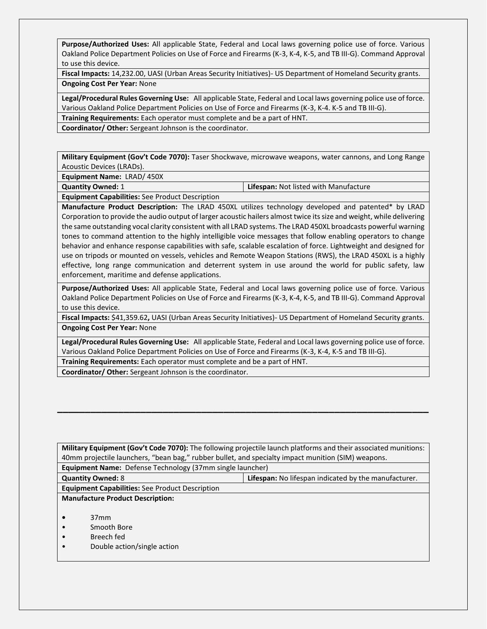**Purpose/Authorized Uses:** All applicable State, Federal and Local laws governing police use of force. Various Oakland Police Department Policies on Use of Force and Firearms (K-3, K-4, K-5, and TB III-G). Command Approval to use this device.

**Fiscal Impacts:** 14,232.00, UASI (Urban Areas Security Initiatives)- US Department of Homeland Security grants. **Ongoing Cost Per Year:** None

**Legal/Procedural Rules Governing Use:** All applicable State, Federal and Local laws governing police use of force. Various Oakland Police Department Policies on Use of Force and Firearms (K-3, K-4. K-5 and TB III-G).

**Training Requirements:** Each operator must complete and be a part of HNT.

**Coordinator/ Other:** Sergeant Johnson is the coordinator.

**Military Equipment (Gov't Code 7070):** Taser Shockwave, microwave weapons, water cannons, and Long Range Acoustic Devices (LRADs).

**Equipment Name:** LRAD/ 450X

**Quantity Owned:** 1 **Lifespan:** Not listed with Manufacture

**Equipment Capabilities:** See Product Description

**Manufacture Product Description:** The LRAD 450XL utilizes technology developed and patented\* by LRAD Corporation to provide the audio output of larger acoustic hailers almost twice its size and weight, while delivering the same outstanding vocal clarity consistent with all LRAD systems. The LRAD 450XL broadcasts powerful warning tones to command attention to the highly intelligible voice messages that follow enabling operators to change behavior and enhance response capabilities with safe, scalable escalation of force. Lightweight and designed for use on tripods or mounted on vessels, vehicles and Remote Weapon Stations (RWS), the LRAD 450XL is a highly effective, long range communication and deterrent system in use around the world for public safety, law enforcement, maritime and defense applications.

**Purpose/Authorized Uses:** All applicable State, Federal and Local laws governing police use of force. Various Oakland Police Department Policies on Use of Force and Firearms (K-3, K-4, K-5, and TB III-G). Command Approval to use this device.

**Fiscal Impacts:** \$41,359.62**,** UASI (Urban Areas Security Initiatives)- US Department of Homeland Security grants. **Ongoing Cost Per Year:** None

**Legal/Procedural Rules Governing Use:** All applicable State, Federal and Local laws governing police use of force. Various Oakland Police Department Policies on Use of Force and Firearms (K-3, K-4, K-5 and TB III-G). **Training Requirements:** Each operator must complete and be a part of HNT.

**\_\_\_\_\_\_\_\_\_\_\_\_\_\_\_\_\_\_\_\_\_\_\_\_\_\_\_\_\_\_\_\_\_\_\_\_\_\_\_\_\_\_\_\_\_\_\_\_\_\_\_\_\_\_\_\_\_\_\_\_\_\_\_\_\_\_\_**

**Coordinator/ Other:** Sergeant Johnson is the coordinator.

| Military Equipment (Gov't Code 7070): The following projectile launch platforms and their associated munitions: |  |  |
|-----------------------------------------------------------------------------------------------------------------|--|--|
| 40mm projectile launchers, "bean bag," rubber bullet, and specialty impact munition (SIM) weapons.              |  |  |
| <b>Equipment Name:</b> Defense Technology (37mm single launcher)                                                |  |  |
| Lifespan: No lifespan indicated by the manufacturer.<br><b>Quantity Owned: 8</b>                                |  |  |
| <b>Equipment Capabilities:</b> See Product Description                                                          |  |  |
| <b>Manufacture Product Description:</b>                                                                         |  |  |
|                                                                                                                 |  |  |
| 37 <sub>mm</sub>                                                                                                |  |  |
| Smooth Bore                                                                                                     |  |  |
| Breech fed                                                                                                      |  |  |
| Double action/single action                                                                                     |  |  |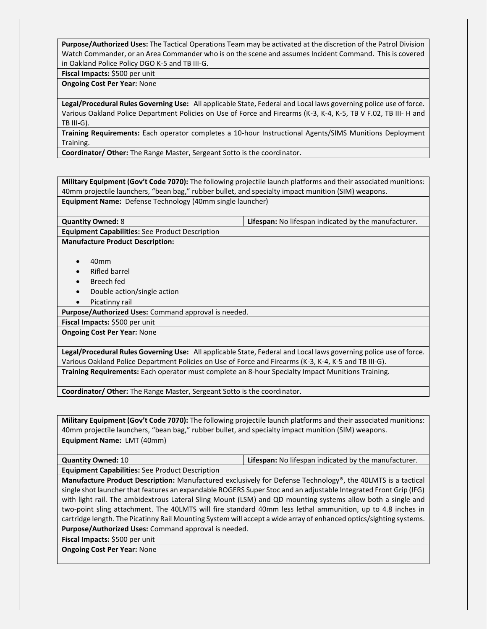**Purpose/Authorized Uses:** The Tactical Operations Team may be activated at the discretion of the Patrol Division Watch Commander, or an Area Commander who is on the scene and assumes Incident Command. This is covered in Oakland Police Policy DGO K-5 and TB III-G.

#### **Fiscal Impacts:** \$500 per unit

#### **Ongoing Cost Per Year:** None

**Legal/Procedural Rules Governing Use:** All applicable State, Federal and Local laws governing police use of force. Various Oakland Police Department Policies on Use of Force and Firearms (K-3, K-4, K-5, TB V F.02, TB III- H and TB III-G).

**Training Requirements:** Each operator completes a 10-hour Instructional Agents/SIMS Munitions Deployment Training.

**Coordinator/ Other:** The Range Master, Sergeant Sotto is the coordinator.

**Military Equipment (Gov't Code 7070):** The following projectile launch platforms and their associated munitions: 40mm projectile launchers, "bean bag," rubber bullet, and specialty impact munition (SIM) weapons. **Equipment Name:** Defense Technology (40mm single launcher)

**Quantity Owned:** 8 **Lifespan:** No lifespan indicated by the manufacturer.

**Manufacture Product Description:**

**Equipment Capabilities:** See Product Description

- 40mm
- Rifled barrel
- Breech fed
- Double action/single action
- Picatinny rail

**Purpose/Authorized Uses:** Command approval is needed.

**Fiscal Impacts:** \$500 per unit

**Ongoing Cost Per Year:** None

**Legal/Procedural Rules Governing Use:** All applicable State, Federal and Local laws governing police use of force. Various Oakland Police Department Policies on Use of Force and Firearms (K-3, K-4, K-5 and TB III-G). **Training Requirements:** Each operator must complete an 8-hour Specialty Impact Munitions Training.

**Coordinator/ Other:** The Range Master, Sergeant Sotto is the coordinator.

**Military Equipment (Gov't Code 7070):** The following projectile launch platforms and their associated munitions: 40mm projectile launchers, "bean bag," rubber bullet, and specialty impact munition (SIM) weapons. **Equipment Name:** LMT (40mm)

**Quantity Owned:** 10 **Lifespan:** No lifespan indicated by the manufacturer. **Equipment Capabilities:** See Product Description

**Manufacture Product Description:** Manufactured exclusively for Defense Technology®, the 40LMTS is a tactical single shot launcher that features an expandable ROGERS Super Stoc and an adjustable Integrated Front Grip (IFG) with light rail. The ambidextrous Lateral Sling Mount (LSM) and QD mounting systems allow both a single and two-point sling attachment. The 40LMTS will fire standard 40mm less lethal ammunition, up to 4.8 inches in cartridge length. The Picatinny Rail Mounting System will accept a wide array of enhanced optics/sighting systems.

**Purpose/Authorized Uses:** Command approval is needed.

**Fiscal Impacts:** \$500 per unit

**Ongoing Cost Per Year:** None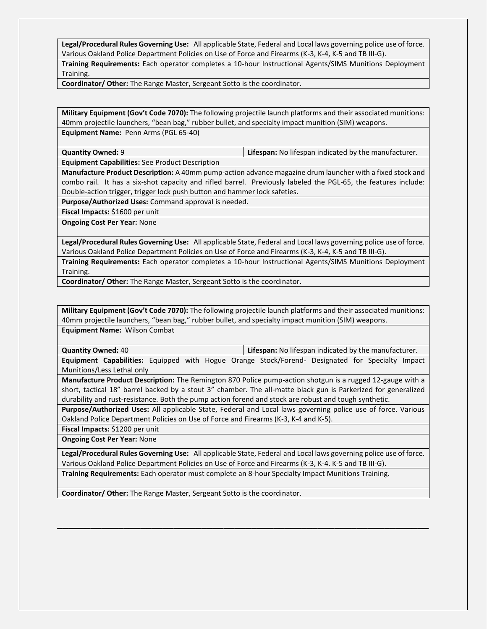**Legal/Procedural Rules Governing Use:** All applicable State, Federal and Local laws governing police use of force. Various Oakland Police Department Policies on Use of Force and Firearms (K-3, K-4, K-5 and TB III-G).

**Training Requirements:** Each operator completes a 10-hour Instructional Agents/SIMS Munitions Deployment Training.

**Coordinator/ Other:** The Range Master, Sergeant Sotto is the coordinator.

**Military Equipment (Gov't Code 7070):** The following projectile launch platforms and their associated munitions: 40mm projectile launchers, "bean bag," rubber bullet, and specialty impact munition (SIM) weapons. **Equipment Name:** Penn Arms (PGL 65-40)

**Quantity Owned:** 9 **Lifespan:** No lifespan indicated by the manufacturer.

**Equipment Capabilities:** See Product Description

**Manufacture Product Description:** A 40mm pump-action advance magazine drum launcher with a fixed stock and combo rail. It has a six-shot capacity and rifled barrel. Previously labeled the PGL-65, the features include: Double-action trigger, trigger lock push button and hammer lock safeties.

**Purpose/Authorized Uses:** Command approval is needed.

**Fiscal Impacts:** \$1600 per unit

**Ongoing Cost Per Year:** None

**Legal/Procedural Rules Governing Use:** All applicable State, Federal and Local laws governing police use of force. Various Oakland Police Department Policies on Use of Force and Firearms (K-3, K-4, K-5 and TB III-G).

**Training Requirements:** Each operator completes a 10-hour Instructional Agents/SIMS Munitions Deployment Training.

**Coordinator/ Other:** The Range Master, Sergeant Sotto is the coordinator.

**Military Equipment (Gov't Code 7070):** The following projectile launch platforms and their associated munitions: 40mm projectile launchers, "bean bag," rubber bullet, and specialty impact munition (SIM) weapons. **Equipment Name:** Wilson Combat

**Quantity Owned:** 40 **Lifespan:** No lifespan indicated by the manufacturer.

**Equipment Capabilities:** Equipped with Hogue Orange Stock/Forend- Designated for Specialty Impact Munitions/Less Lethal only

**Manufacture Product Description:** The Remington 870 Police pump-action shotgun is a rugged 12-gauge with a short, tactical 18" barrel backed by a stout 3" chamber. The all-matte black gun is Parkerized for generalized durability and rust-resistance. Both the pump action forend and stock are robust and tough synthetic.

**Purpose/Authorized Uses:** All applicable State, Federal and Local laws governing police use of force. Various Oakland Police Department Policies on Use of Force and Firearms (K-3, K-4 and K-5).

**Fiscal Impacts:** \$1200 per unit

**Ongoing Cost Per Year:** None

**Legal/Procedural Rules Governing Use:** All applicable State, Federal and Local laws governing police use of force. Various Oakland Police Department Policies on Use of Force and Firearms (K-3, K-4. K-5 and TB III-G).

**\_\_\_\_\_\_\_\_\_\_\_\_\_\_\_\_\_\_\_\_\_\_\_\_\_\_\_\_\_\_\_\_\_\_\_\_\_\_\_\_\_\_\_\_\_\_\_\_\_\_\_\_\_\_\_\_\_\_\_\_\_\_\_\_\_\_\_**

**Training Requirements:** Each operator must complete an 8-hour Specialty Impact Munitions Training.

**Coordinator/ Other:** The Range Master, Sergeant Sotto is the coordinator.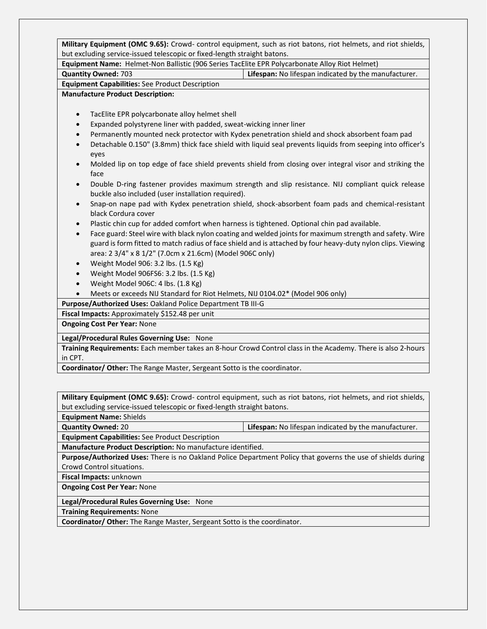**Military Equipment (OMC 9.65):** Crowd- control equipment, such as riot batons, riot helmets, and riot shields, but excluding service-issued telescopic or fixed-length straight batons.

**Equipment Name:** Helmet-Non Ballistic (906 Series TacElite EPR Polycarbonate Alloy Riot Helmet)

#### **Quantity Owned:** 703 **Lifespan:** No lifespan indicated by the manufacturer.

**Equipment Capabilities:** See Product Description

#### **Manufacture Product Description:**

- TacElite EPR polycarbonate alloy helmet shell
- Expanded polystyrene liner with padded, sweat-wicking inner liner
- Permanently mounted neck protector with Kydex penetration shield and shock absorbent foam pad
- Detachable 0.150" (3.8mm) thick face shield with liquid seal prevents liquids from seeping into officer's eyes
- Molded lip on top edge of face shield prevents shield from closing over integral visor and striking the face
- Double D-ring fastener provides maximum strength and slip resistance. NIJ compliant quick release buckle also included (user installation required).
- Snap-on nape pad with Kydex penetration shield, shock-absorbent foam pads and chemical-resistant black Cordura cover
- Plastic chin cup for added comfort when harness is tightened. Optional chin pad available.
- Face guard: Steel wire with black nylon coating and welded joints for maximum strength and safety. Wire guard is form fitted to match radius of face shield and is attached by four heavy-duty nylon clips. Viewing area: 2 3/4" x 8 1/2" (7.0cm x 21.6cm) (Model 906C only)
- Weight Model 906: 3.2 lbs. (1.5 Kg)
- Weight Model 906FS6: 3.2 lbs. (1.5 Kg)
- Weight Model 906C: 4 lbs. (1.8 Kg)
- Meets or exceeds NIJ Standard for Riot Helmets, NIJ 0104.02\* (Model 906 only)

**Purpose/Authorized Uses:** Oakland Police Department TB III-G

**Fiscal Impacts:** Approximately \$152.48 per unit

**Ongoing Cost Per Year:** None

#### **Legal/Procedural Rules Governing Use:** None

**Training Requirements:** Each member takes an 8-hour Crowd Control class in the Academy. There is also 2-hours in CPT.

**Coordinator/ Other:** The Range Master, Sergeant Sotto is the coordinator.

**Military Equipment (OMC 9.65):** Crowd- control equipment, such as riot batons, riot helmets, and riot shields, but excluding service-issued telescopic or fixed-length straight batons.

**Equipment Name:** Shields

**Quantity Owned:** 20 **Lifespan:** No lifespan indicated by the manufacturer.

**Equipment Capabilities:** See Product Description

**Manufacture Product Description:** No manufacture identified.

**Purpose/Authorized Uses:** There is no Oakland Police Department Policy that governs the use of shields during Crowd Control situations.

**Fiscal Impacts:** unknown

**Ongoing Cost Per Year:** None

**Legal/Procedural Rules Governing Use:** None

**Training Requirements:** None

**Coordinator/ Other:** The Range Master, Sergeant Sotto is the coordinator.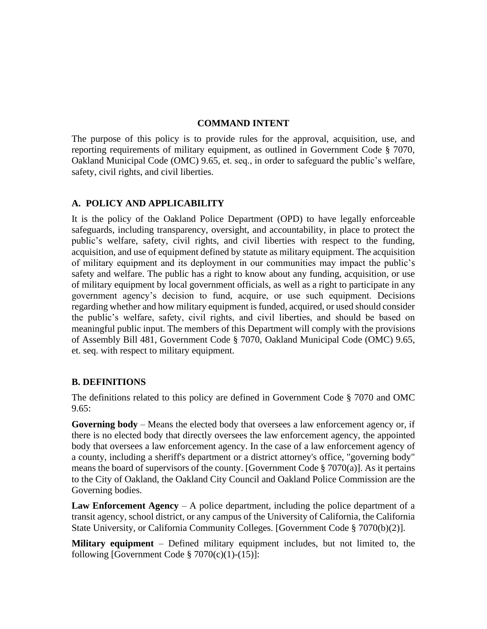#### **COMMAND INTENT**

The purpose of this policy is to provide rules for the approval, acquisition, use, and reporting requirements of military equipment, as outlined in Government Code § 7070, Oakland Municipal Code (OMC) 9.65, et. seq., in order to safeguard the public's welfare, safety, civil rights, and civil liberties.

#### **A. POLICY AND APPLICABILITY**

It is the policy of the Oakland Police Department (OPD) to have legally enforceable safeguards, including transparency, oversight, and accountability, in place to protect the public's welfare, safety, civil rights, and civil liberties with respect to the funding, acquisition, and use of equipment defined by statute as military equipment. The acquisition of military equipment and its deployment in our communities may impact the public's safety and welfare. The public has a right to know about any funding, acquisition, or use of military equipment by local government officials, as well as a right to participate in any government agency's decision to fund, acquire, or use such equipment. Decisions regarding whether and how military equipment is funded, acquired, or used should consider the public's welfare, safety, civil rights, and civil liberties, and should be based on meaningful public input. The members of this Department will comply with the provisions of Assembly Bill 481, Government Code § 7070, Oakland Municipal Code (OMC) 9.65, et. seq. with respect to military equipment.

#### **B. DEFINITIONS**

The definitions related to this policy are defined in Government Code § 7070 and OMC  $9.65:$ 

**Governing body** – Means the elected body that oversees a law enforcement agency or, if there is no elected body that directly oversees the law enforcement agency, the appointed body that oversees a law enforcement agency. In the case of a law enforcement agency of a county, including a sheriff's department or a district attorney's office, "governing body" means the board of supervisors of the county. [Government Code § 7070(a)]. As it pertains to the City of Oakland, the Oakland City Council and Oakland Police Commission are the Governing bodies.

**Law Enforcement Agency** – A police department, including the police department of a transit agency, school district, or any campus of the University of California, the California State University, or California Community Colleges. [Government Code § 7070(b)(2)].

**Military equipment** – Defined military equipment includes, but not limited to, the following [Government Code  $\S 7070(c)(1)-(15)$ ]: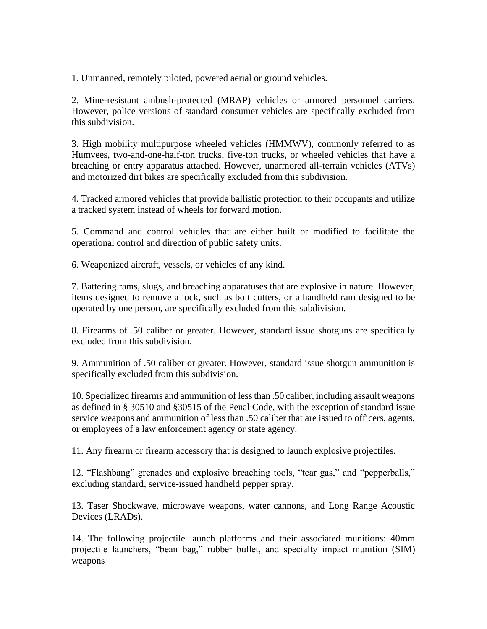1. Unmanned, remotely piloted, powered aerial or ground vehicles.

2. Mine-resistant ambush-protected (MRAP) vehicles or armored personnel carriers. However, police versions of standard consumer vehicles are specifically excluded from this subdivision.

3. High mobility multipurpose wheeled vehicles (HMMWV), commonly referred to as Humvees, two-and-one-half-ton trucks, five-ton trucks, or wheeled vehicles that have a breaching or entry apparatus attached. However, unarmored all-terrain vehicles (ATVs) and motorized dirt bikes are specifically excluded from this subdivision.

4. Tracked armored vehicles that provide ballistic protection to their occupants and utilize a tracked system instead of wheels for forward motion.

5. Command and control vehicles that are either built or modified to facilitate the operational control and direction of public safety units.

6. Weaponized aircraft, vessels, or vehicles of any kind.

7. Battering rams, slugs, and breaching apparatuses that are explosive in nature. However, items designed to remove a lock, such as bolt cutters, or a handheld ram designed to be operated by one person, are specifically excluded from this subdivision.

8. Firearms of .50 caliber or greater. However, standard issue shotguns are specifically excluded from this subdivision.

9. Ammunition of .50 caliber or greater. However, standard issue shotgun ammunition is specifically excluded from this subdivision.

10. Specialized firearms and ammunition of less than .50 caliber, including assault weapons as defined in § 30510 and §30515 of the Penal Code, with the exception of standard issue service weapons and ammunition of less than .50 caliber that are issued to officers, agents, or employees of a law enforcement agency or state agency.

11. Any firearm or firearm accessory that is designed to launch explosive projectiles.

12. "Flashbang" grenades and explosive breaching tools, "tear gas," and "pepperballs," excluding standard, service-issued handheld pepper spray.

13. Taser Shockwave, microwave weapons, water cannons, and Long Range Acoustic Devices (LRADs).

14. The following projectile launch platforms and their associated munitions: 40mm projectile launchers, "bean bag," rubber bullet, and specialty impact munition (SIM) weapons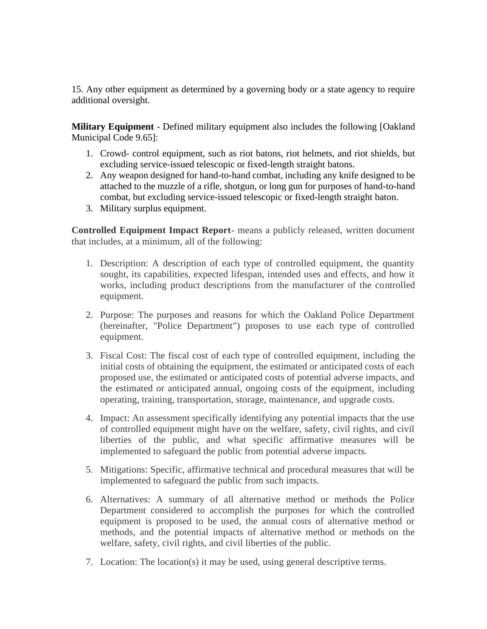15. Any other equipment as determined by a governing body or a state agency to require additional oversight.

**Military Equipment** - Defined military equipment also includes the following [Oakland Municipal Code 9.65]:

- 1. Crowd- control equipment, such as riot batons, riot helmets, and riot shields, but excluding service-issued telescopic or fixed-length straight batons.
- 2. Any weapon designed for hand-to-hand combat, including any knife designed to be attached to the muzzle of a rifle, shotgun, or long gun for purposes of hand-to-hand combat, but excluding service-issued telescopic or fixed-length straight baton.
- 3. Military surplus equipment.

**Controlled Equipment Impact Report-** means a publicly released, written document that includes, at a minimum, all of the following:

- 1. Description: A description of each type of controlled equipment, the quantity sought, its capabilities, expected lifespan, intended uses and effects, and how it works, including product descriptions from the manufacturer of the controlled equipment.
- 2. Purpose: The purposes and reasons for which the Oakland Police Department (hereinafter, "Police Department") proposes to use each type of controlled equipment.
- 3. Fiscal Cost: The fiscal cost of each type of controlled equipment, including the initial costs of obtaining the equipment, the estimated or anticipated costs of each proposed use, the estimated or anticipated costs of potential adverse impacts, and the estimated or anticipated annual, ongoing costs of the equipment, including operating, training, transportation, storage, maintenance, and upgrade costs.
- 4. Impact: An assessment specifically identifying any potential impacts that the use of controlled equipment might have on the welfare, safety, civil rights, and civil liberties of the public, and what specific affirmative measures will be implemented to safeguard the public from potential adverse impacts.
- 5. Mitigations: Specific, affirmative technical and procedural measures that will be implemented to safeguard the public from such impacts.
- 6. Alternatives: A summary of all alternative method or methods the Police Department considered to accomplish the purposes for which the controlled equipment is proposed to be used, the annual costs of alternative method or methods, and the potential impacts of alternative method or methods on the welfare, safety, civil rights, and civil liberties of the public.
- 7. Location: The location(s) it may be used, using general descriptive terms.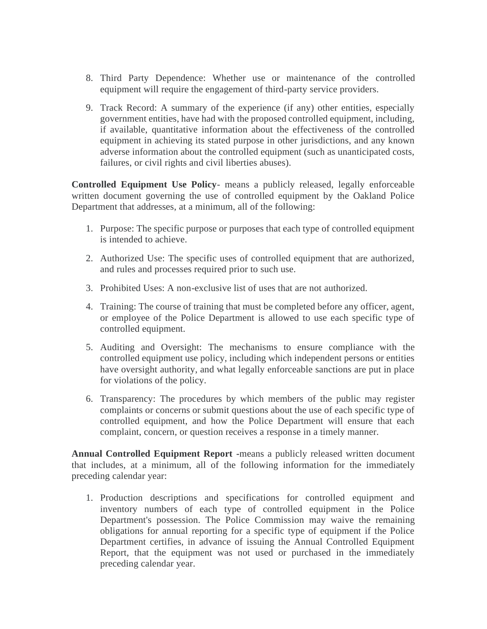- 8. Third Party Dependence: Whether use or maintenance of the controlled equipment will require the engagement of third-party service providers.
- 9. Track Record: A summary of the experience (if any) other entities, especially government entities, have had with the proposed controlled equipment, including, if available, quantitative information about the effectiveness of the controlled equipment in achieving its stated purpose in other jurisdictions, and any known adverse information about the controlled equipment (such as unanticipated costs, failures, or civil rights and civil liberties abuses).

**Controlled Equipment Use Policy**- means a publicly released, legally enforceable written document governing the use of controlled equipment by the Oakland Police Department that addresses, at a minimum, all of the following:

- 1. Purpose: The specific purpose or purposes that each type of controlled equipment is intended to achieve.
- 2. Authorized Use: The specific uses of controlled equipment that are authorized, and rules and processes required prior to such use.
- 3. Prohibited Uses: A non-exclusive list of uses that are not authorized.
- 4. Training: The course of training that must be completed before any officer, agent, or employee of the Police Department is allowed to use each specific type of controlled equipment.
- 5. Auditing and Oversight: The mechanisms to ensure compliance with the controlled equipment use policy, including which independent persons or entities have oversight authority, and what legally enforceable sanctions are put in place for violations of the policy.
- 6. Transparency: The procedures by which members of the public may register complaints or concerns or submit questions about the use of each specific type of controlled equipment, and how the Police Department will ensure that each complaint, concern, or question receives a response in a timely manner.

**Annual Controlled Equipment Report -**means a publicly released written document that includes, at a minimum, all of the following information for the immediately preceding calendar year:

1. Production descriptions and specifications for controlled equipment and inventory numbers of each type of controlled equipment in the Police Department's possession. The Police Commission may waive the remaining obligations for annual reporting for a specific type of equipment if the Police Department certifies, in advance of issuing the Annual Controlled Equipment Report, that the equipment was not used or purchased in the immediately preceding calendar year.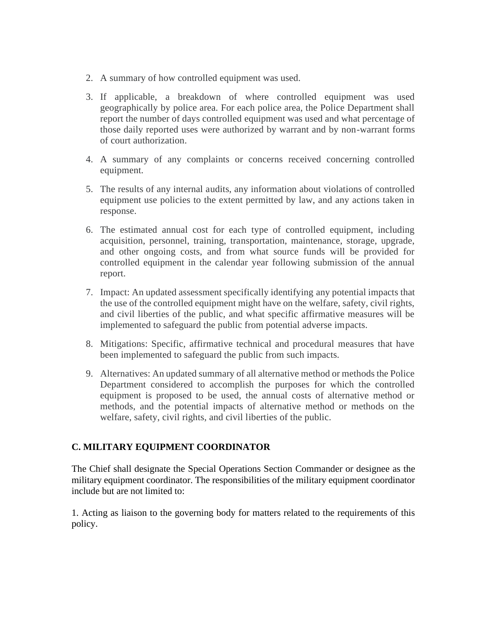- 2. A summary of how controlled equipment was used.
- 3. If applicable, a breakdown of where controlled equipment was used geographically by police area. For each police area, the Police Department shall report the number of days controlled equipment was used and what percentage of those daily reported uses were authorized by warrant and by non-warrant forms of court authorization.
- 4. A summary of any complaints or concerns received concerning controlled equipment.
- 5. The results of any internal audits, any information about violations of controlled equipment use policies to the extent permitted by law, and any actions taken in response.
- 6. The estimated annual cost for each type of controlled equipment, including acquisition, personnel, training, transportation, maintenance, storage, upgrade, and other ongoing costs, and from what source funds will be provided for controlled equipment in the calendar year following submission of the annual report.
- 7. Impact: An updated assessment specifically identifying any potential impacts that the use of the controlled equipment might have on the welfare, safety, civil rights, and civil liberties of the public, and what specific affirmative measures will be implemented to safeguard the public from potential adverse impacts.
- 8. Mitigations: Specific, affirmative technical and procedural measures that have been implemented to safeguard the public from such impacts.
- 9. Alternatives: An updated summary of all alternative method or methods the Police Department considered to accomplish the purposes for which the controlled equipment is proposed to be used, the annual costs of alternative method or methods, and the potential impacts of alternative method or methods on the welfare, safety, civil rights, and civil liberties of the public.

#### **C. MILITARY EQUIPMENT COORDINATOR**

The Chief shall designate the Special Operations Section Commander or designee as the military equipment coordinator. The responsibilities of the military equipment coordinator include but are not limited to:

1. Acting as liaison to the governing body for matters related to the requirements of this policy.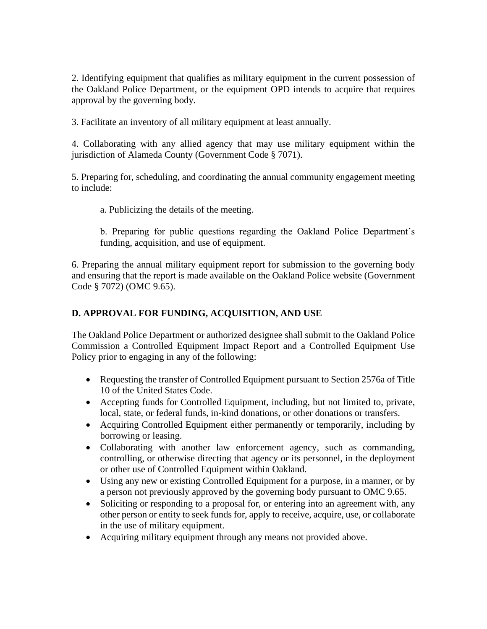2. Identifying equipment that qualifies as military equipment in the current possession of the Oakland Police Department, or the equipment OPD intends to acquire that requires approval by the governing body.

3. Facilitate an inventory of all military equipment at least annually.

4. Collaborating with any allied agency that may use military equipment within the jurisdiction of Alameda County (Government Code § 7071).

5. Preparing for, scheduling, and coordinating the annual community engagement meeting to include:

a. Publicizing the details of the meeting.

b. Preparing for public questions regarding the Oakland Police Department's funding, acquisition, and use of equipment.

6. Preparing the annual military equipment report for submission to the governing body and ensuring that the report is made available on the Oakland Police website (Government Code § 7072) (OMC 9.65).

#### **D. APPROVAL FOR FUNDING, ACQUISITION, AND USE**

The Oakland Police Department or authorized designee shall submit to the Oakland Police Commission a Controlled Equipment Impact Report and a Controlled Equipment Use Policy prior to engaging in any of the following:

- Requesting the transfer of Controlled Equipment pursuant to Section 2576a of Title 10 of the United States Code.
- Accepting funds for Controlled Equipment, including, but not limited to, private, local, state, or federal funds, in-kind donations, or other donations or transfers.
- Acquiring Controlled Equipment either permanently or temporarily, including by borrowing or leasing.
- Collaborating with another law enforcement agency, such as commanding, controlling, or otherwise directing that agency or its personnel, in the deployment or other use of Controlled Equipment within Oakland.
- Using any new or existing Controlled Equipment for a purpose, in a manner, or by a person not previously approved by the governing body pursuant to OMC 9.65.
- Soliciting or responding to a proposal for, or entering into an agreement with, any other person or entity to seek funds for, apply to receive, acquire, use, or collaborate in the use of military equipment.
- Acquiring military equipment through any means not provided above.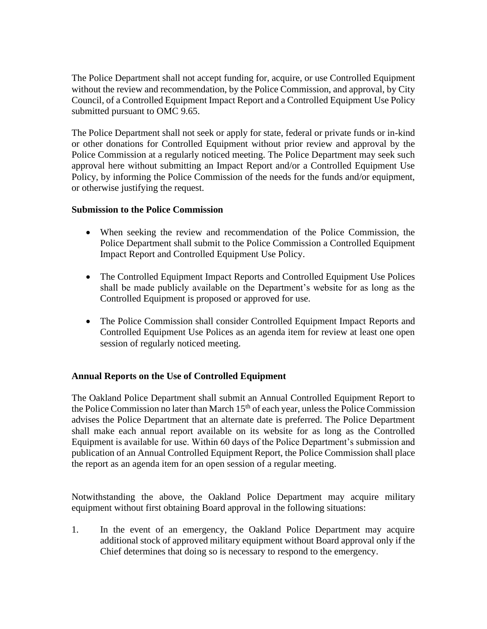The Police Department shall not accept funding for, acquire, or use Controlled Equipment without the review and recommendation, by the Police Commission, and approval, by City Council, of a Controlled Equipment Impact Report and a Controlled Equipment Use Policy submitted pursuant to OMC 9.65.

The Police Department shall not seek or apply for state, federal or private funds or in-kind or other donations for Controlled Equipment without prior review and approval by the Police Commission at a regularly noticed meeting. The Police Department may seek such approval here without submitting an Impact Report and/or a Controlled Equipment Use Policy, by informing the Police Commission of the needs for the funds and/or equipment, or otherwise justifying the request.

#### **Submission to the Police Commission**

- When seeking the review and recommendation of the Police Commission, the Police Department shall submit to the Police Commission a Controlled Equipment Impact Report and Controlled Equipment Use Policy.
- The Controlled Equipment Impact Reports and Controlled Equipment Use Polices shall be made publicly available on the Department's website for as long as the Controlled Equipment is proposed or approved for use.
- The Police Commission shall consider Controlled Equipment Impact Reports and Controlled Equipment Use Polices as an agenda item for review at least one open session of regularly noticed meeting.

#### **Annual Reports on the Use of Controlled Equipment**

The Oakland Police Department shall submit an Annual Controlled Equipment Report to the Police Commission no later than March  $15<sup>th</sup>$  of each year, unless the Police Commission advises the Police Department that an alternate date is preferred. The Police Department shall make each annual report available on its website for as long as the Controlled Equipment is available for use. Within 60 days of the Police Department's submission and publication of an Annual Controlled Equipment Report, the Police Commission shall place the report as an agenda item for an open session of a regular meeting.

Notwithstanding the above, the Oakland Police Department may acquire military equipment without first obtaining Board approval in the following situations:

1. In the event of an emergency, the Oakland Police Department may acquire additional stock of approved military equipment without Board approval only if the Chief determines that doing so is necessary to respond to the emergency.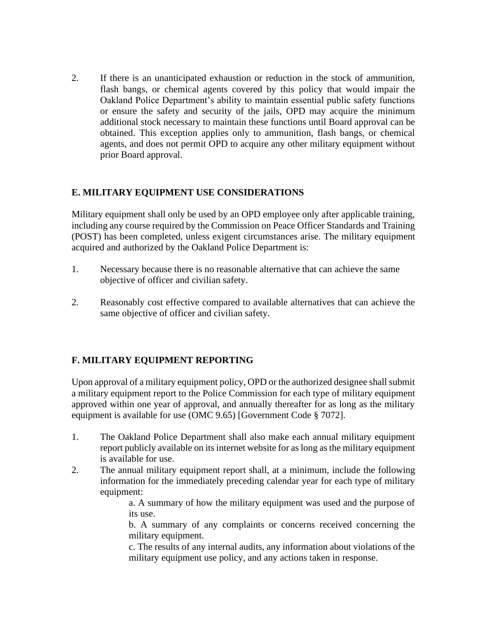2. If there is an unanticipated exhaustion or reduction in the stock of ammunition, flash bangs, or chemical agents covered by this policy that would impair the Oakland Police Department's ability to maintain essential public safety functions or ensure the safety and security of the jails, OPD may acquire the minimum additional stock necessary to maintain these functions until Board approval can be obtained. This exception applies only to ammunition, flash bangs, or chemical agents, and does not permit OPD to acquire any other military equipment without prior Board approval.

#### **E. MILITARY EQUIPMENT USE CONSIDERATIONS**

Military equipment shall only be used by an OPD employee only after applicable training, including any course required by the Commission on Peace Officer Standards and Training (POST) has been completed, unless exigent circumstances arise. The military equipment acquired and authorized by the Oakland Police Department is:

- 1. Necessary because there is no reasonable alternative that can achieve the same objective of officer and civilian safety.
- 2. Reasonably cost effective compared to available alternatives that can achieve the same objective of officer and civilian safety.

#### **F. MILITARY EQUIPMENT REPORTING**

Upon approval of a military equipment policy, OPD or the authorized designee shall submit a military equipment report to the Police Commission for each type of military equipment approved within one year of approval, and annually thereafter for as long as the military equipment is available for use (OMC 9.65) [Government Code § 7072].

- 1. The Oakland Police Department shall also make each annual military equipment report publicly available on its internet website for as long as the military equipment is available for use.
- 2. The annual military equipment report shall, at a minimum, include the following information for the immediately preceding calendar year for each type of military equipment:

a. A summary of how the military equipment was used and the purpose of its use.

b. A summary of any complaints or concerns received concerning the military equipment.

c. The results of any internal audits, any information about violations of the military equipment use policy, and any actions taken in response.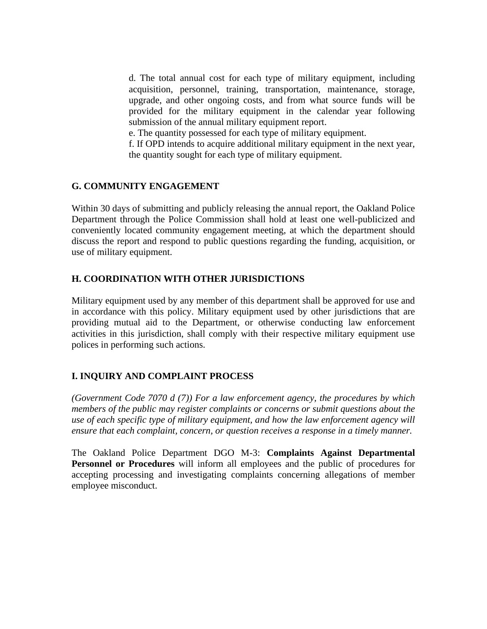d. The total annual cost for each type of military equipment, including acquisition, personnel, training, transportation, maintenance, storage, upgrade, and other ongoing costs, and from what source funds will be provided for the military equipment in the calendar year following submission of the annual military equipment report.

e. The quantity possessed for each type of military equipment.

f. If OPD intends to acquire additional military equipment in the next year, the quantity sought for each type of military equipment.

#### **G. COMMUNITY ENGAGEMENT**

Within 30 days of submitting and publicly releasing the annual report, the Oakland Police Department through the Police Commission shall hold at least one well-publicized and conveniently located community engagement meeting, at which the department should discuss the report and respond to public questions regarding the funding, acquisition, or use of military equipment.

#### **H. COORDINATION WITH OTHER JURISDICTIONS**

Military equipment used by any member of this department shall be approved for use and in accordance with this policy. Military equipment used by other jurisdictions that are providing mutual aid to the Department, or otherwise conducting law enforcement activities in this jurisdiction, shall comply with their respective military equipment use polices in performing such actions.

#### **I. INQUIRY AND COMPLAINT PROCESS**

*(Government Code 7070 d (7)) For a law enforcement agency, the procedures by which members of the public may register complaints or concerns or submit questions about the use of each specific type of military equipment, and how the law enforcement agency will ensure that each complaint, concern, or question receives a response in a timely manner.*

The Oakland Police Department DGO M-3: **Complaints Against Departmental Personnel or Procedures** will inform all employees and the public of procedures for accepting processing and investigating complaints concerning allegations of member employee misconduct.